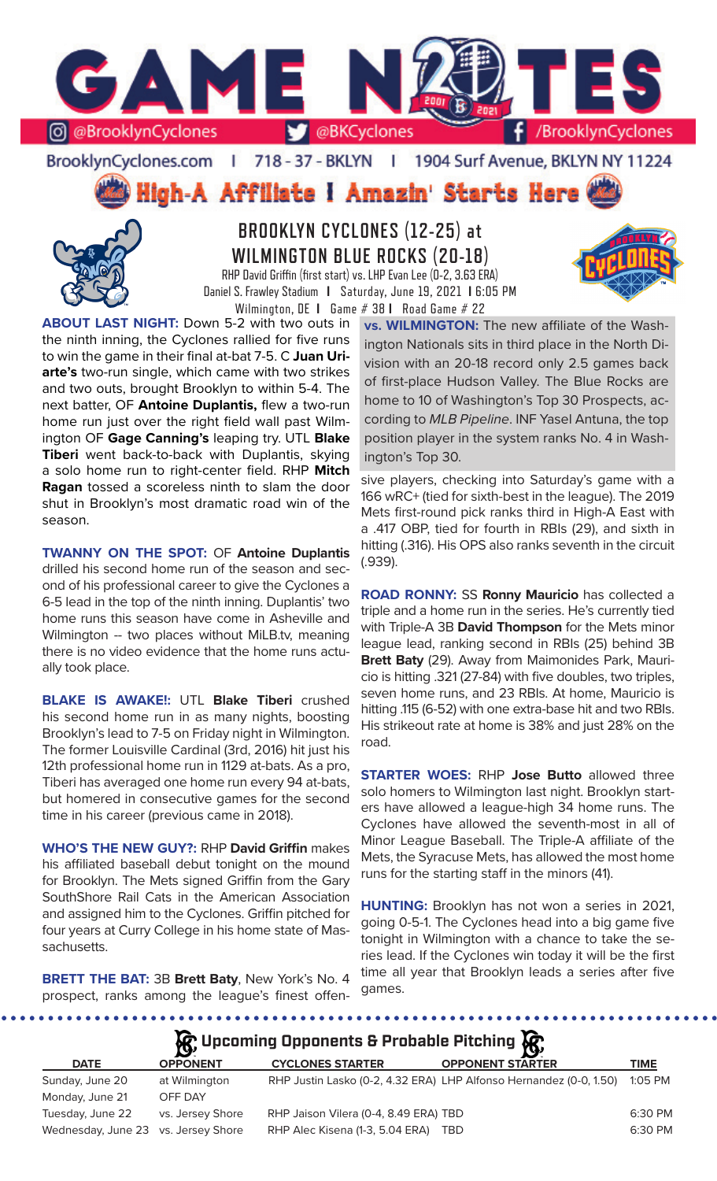

### BrooklynCyclones.com | 718 - 37 - BKLYN | 1904 Surf Avenue, BKLYN NY 11224

High-A Affiliate I Amazin' Starts Here



**BROOKLYN CYCLONES (12-25) at WILMINGTON BLUE ROCKS (20-18)** RHP David Griffin (first start) vs. LHP Evan Lee (0-2, 3.63 ERA)



Daniel S. Frawley Stadium **I** Saturday, June 19, 2021 **I** 6:05 PM Wilmington, DE **I** Game # 38 **I** Road Game # 22

**ABOUT LAST NIGHT:** Down 5-2 with two outs in the ninth inning, the Cyclones rallied for five runs to win the game in their final at-bat 7-5. C **Juan Uriarte's** two-run single, which came with two strikes and two outs, brought Brooklyn to within 5-4. The next batter, OF **Antoine Duplantis,** flew a two-run home run just over the right field wall past Wilmington OF **Gage Canning's** leaping try. UTL **Blake Tiberi** went back-to-back with Duplantis, skying a solo home run to right-center field. RHP **Mitch Ragan** tossed a scoreless ninth to slam the door shut in Brooklyn's most dramatic road win of the season.

**TWANNY ON THE SPOT:** OF **Antoine Duplantis** drilled his second home run of the season and second of his professional career to give the Cyclones a 6-5 lead in the top of the ninth inning. Duplantis' two home runs this season have come in Asheville and Wilmington -- two places without MiLB.tv, meaning there is no video evidence that the home runs actually took place.

**BLAKE IS AWAKE!:** UTL **Blake Tiberi** crushed his second home run in as many nights, boosting Brooklyn's lead to 7-5 on Friday night in Wilmington. The former Louisville Cardinal (3rd, 2016) hit just his 12th professional home run in 1129 at-bats. As a pro, Tiberi has averaged one home run every 94 at-bats, but homered in consecutive games for the second time in his career (previous came in 2018).

**WHO'S THE NEW GUY?:** RHP **David Griffin** makes his affiliated baseball debut tonight on the mound for Brooklyn. The Mets signed Griffin from the Gary SouthShore Rail Cats in the American Association and assigned him to the Cyclones. Griffin pitched for four years at Curry College in his home state of Massachusetts.

**BRETT THE BAT:** 3B **Brett Baty**, New York's No. 4 prospect, ranks among the league's finest offen**vs. WILMINGTON:** The new affiliate of the Washington Nationals sits in third place in the North Division with an 20-18 record only 2.5 games back of first-place Hudson Valley. The Blue Rocks are home to 10 of Washington's Top 30 Prospects, according to *MLB Pipeline*. INF Yasel Antuna, the top position player in the system ranks No. 4 in Washington's Top 30.

sive players, checking into Saturday's game with a 166 wRC+ (tied for sixth-best in the league). The 2019 Mets first-round pick ranks third in High-A East with a .417 OBP, tied for fourth in RBIs (29), and sixth in hitting (.316). His OPS also ranks seventh in the circuit (.939).

**ROAD RONNY:** SS **Ronny Mauricio** has collected a triple and a home run in the series. He's currently tied with Triple-A 3B **David Thompson** for the Mets minor league lead, ranking second in RBIs (25) behind 3B **Brett Baty** (29). Away from Maimonides Park, Mauricio is hitting .321 (27-84) with five doubles, two triples, seven home runs, and 23 RBIs. At home, Mauricio is hitting .115 (6-52) with one extra-base hit and two RBIs. His strikeout rate at home is 38% and just 28% on the road.

**STARTER WOES:** RHP **Jose Butto** allowed three solo homers to Wilmington last night. Brooklyn starters have allowed a league-high 34 home runs. The Cyclones have allowed the seventh-most in all of Minor League Baseball. The Triple-A affiliate of the Mets, the Syracuse Mets, has allowed the most home runs for the starting staff in the minors (41).

**HUNTING:** Brooklyn has not won a series in 2021, going 0-5-1. The Cyclones head into a big game five tonight in Wilmington with a chance to take the series lead. If the Cyclones win today it will be the first time all year that Brooklyn leads a series after five games.

**A**: Upcoming Opponents & Probable Pitching  $\mathbb{R}$ 

|                                     | $\mathbf{S}$     |                                       | - <b>17</b>                                                        |           |
|-------------------------------------|------------------|---------------------------------------|--------------------------------------------------------------------|-----------|
| <b>DATE</b>                         | <b>OPPONENT</b>  | <b>CYCLONES STARTER</b>               | <b>OPPONENT STARTER</b>                                            | TIME      |
| Sunday, June 20                     | at Wilmington    |                                       | RHP Justin Lasko (0-2, 4.32 ERA) LHP Alfonso Hernandez (0-0, 1.50) | $1:05$ PM |
| Monday, June 21                     | OFF DAY          |                                       |                                                                    |           |
| Tuesday, June 22                    | vs. Jersey Shore | RHP Jaison Vilera (0-4, 8.49 ERA) TBD |                                                                    | 6:30 PM   |
| Wednesday, June 23 vs. Jersey Shore |                  | RHP Alec Kisena (1-3, 5.04 ERA)       | TBD                                                                | 6:30 PM   |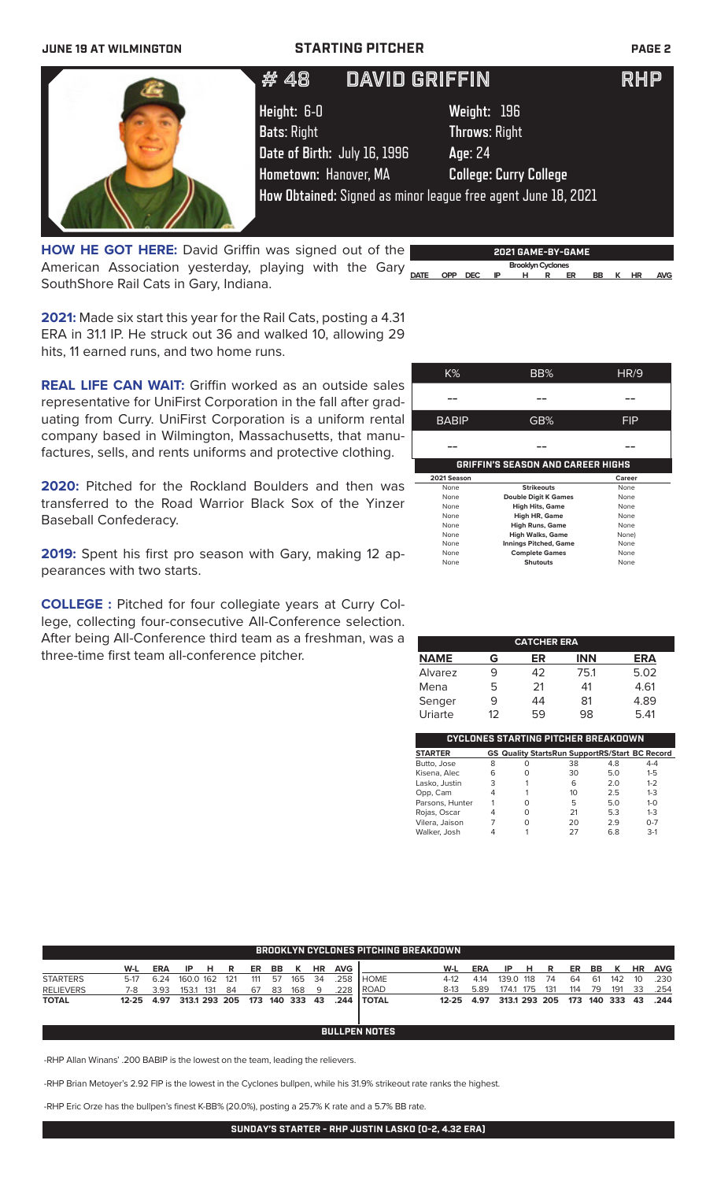### **JUNE 19 AT WILMINGTON STARTING PITCHER PAGE 2**

| # 48                                                          | <b>DAVID GRIFFIN</b> |                               | <b>RHP</b> |  |  |
|---------------------------------------------------------------|----------------------|-------------------------------|------------|--|--|
| Height: 6-0                                                   |                      | Weight: 196                   |            |  |  |
| <b>Bats: Right</b>                                            |                      | <b>Throws: Right</b>          |            |  |  |
| Date of Birth: July 16, 1996                                  |                      | Age: 24                       |            |  |  |
| Hometown: Hanover, MA                                         |                      | <b>College: Curry College</b> |            |  |  |
| How Obtained: Signed as minor league free agent June 18, 2021 |                      |                               |            |  |  |
|                                                               |                      |                               |            |  |  |

**DATE OPP DEC IP H R ER BB K HR AVG** American Association yesterday, playing with the Gary **HOW HE GOT HERE:** David Griffin was signed out of the SouthShore Rail Cats in Gary, Indiana.

**2021 GAME-BY-GAME Brooklyn Cyclones** 

**2021:** Made six start this year for the Rail Cats, posting a 4.31 ERA in 31.1 IP. He struck out 36 and walked 10, allowing 29 hits, 11 earned runs, and two home runs.

**REAL LIFE CAN WAIT:** Griffin worked as an outside sales representative for UniFirst Corporation in the fall after graduating from Curry. UniFirst Corporation is a uniform rental company based in Wilmington, Massachusetts, that manufactures, sells, and rents uniforms and protective clothing.

2020: Pitched for the Rockland Boulders and then was transferred to the Road Warrior Black Sox of the Yinzer Baseball Confederacy.

**2019:** Spent his first pro season with Gary, making 12 appearances with two starts.

**COLLEGE :** Pitched for four collegiate years at Curry College, collecting four-consecutive All-Conference selection. After being All-Conference third team as a freshman, was a three-time first team all-conference pitcher.

| K%                                       | BB%                          | HR/9   |  |  |  |  |  |  |  |  |  |
|------------------------------------------|------------------------------|--------|--|--|--|--|--|--|--|--|--|
|                                          |                              |        |  |  |  |  |  |  |  |  |  |
|                                          |                              |        |  |  |  |  |  |  |  |  |  |
| <b>BABIP</b>                             | GB%                          | FIP    |  |  |  |  |  |  |  |  |  |
|                                          |                              |        |  |  |  |  |  |  |  |  |  |
|                                          |                              |        |  |  |  |  |  |  |  |  |  |
| <b>GRIFFIN'S SEASON AND CAREER HIGHS</b> |                              |        |  |  |  |  |  |  |  |  |  |
|                                          |                              |        |  |  |  |  |  |  |  |  |  |
| 2021 Season                              |                              | Career |  |  |  |  |  |  |  |  |  |
| None                                     | <b>Strikeouts</b>            | None   |  |  |  |  |  |  |  |  |  |
| None                                     | <b>Double Digit K Games</b>  | None   |  |  |  |  |  |  |  |  |  |
| None                                     | <b>High Hits, Game</b>       | None   |  |  |  |  |  |  |  |  |  |
| None                                     | <b>High HR, Game</b>         | None   |  |  |  |  |  |  |  |  |  |
| None                                     | <b>High Runs, Game</b>       | None   |  |  |  |  |  |  |  |  |  |
| None                                     | <b>High Walks, Game</b>      | None)  |  |  |  |  |  |  |  |  |  |
| None                                     | <b>Innings Pitched, Game</b> | None   |  |  |  |  |  |  |  |  |  |
| None                                     | <b>Complete Games</b>        | None   |  |  |  |  |  |  |  |  |  |

| <b>CATCHER ERA</b> |    |    |            |            |  |  |  |  |  |
|--------------------|----|----|------------|------------|--|--|--|--|--|
| <b>NAME</b>        | G  | ER | <b>INN</b> | <b>ERA</b> |  |  |  |  |  |
| Alvarez            | 9  | 42 | 75.1       | 5.02       |  |  |  |  |  |
| Mena               | 5  | 21 | 41         | 4.61       |  |  |  |  |  |
| Senger             | 9  | 44 | 81         | 4.89       |  |  |  |  |  |
| Uriarte            | 12 | 59 | 98         | 5.41       |  |  |  |  |  |

| CYCLONES STARTING PITCHER BREAKDOWN |   |                                                       |    |     |         |  |  |  |  |  |  |
|-------------------------------------|---|-------------------------------------------------------|----|-----|---------|--|--|--|--|--|--|
| <b>STARTER</b>                      |   | <b>GS Quality StartsRun SupportRS/Start BC Record</b> |    |     |         |  |  |  |  |  |  |
| Butto, Jose                         | 8 | Ω                                                     | 38 | 4.8 | $4 - 4$ |  |  |  |  |  |  |
| Kisena, Alec                        | 6 | O                                                     | 30 | 5.0 | $1 - 5$ |  |  |  |  |  |  |
| Lasko, Justin                       | 3 |                                                       | 6  | 2.0 | $1 - 2$ |  |  |  |  |  |  |
| Opp, Cam                            | 4 |                                                       | 10 | 2.5 | $1 - 3$ |  |  |  |  |  |  |
| Parsons, Hunter                     |   | Ω                                                     | 5  | 5.0 | $1 - 0$ |  |  |  |  |  |  |
| Rojas, Oscar                        | 4 | O                                                     | 21 | 5.3 | $1 - 3$ |  |  |  |  |  |  |
| Vilera, Jaison                      |   | O                                                     | 20 | 2.9 | $O - 7$ |  |  |  |  |  |  |
| Walker, Josh                        |   |                                                       | 27 | 68  | $3-1$   |  |  |  |  |  |  |

|                  | <b>BROOKLYN CYCLONES PITCHING BREAKDOWN</b> |            |           |     |               |     |    |             |     |            |                      |           |            |       |           |               |     |     |         |           |            |
|------------------|---------------------------------------------|------------|-----------|-----|---------------|-----|----|-------------|-----|------------|----------------------|-----------|------------|-------|-----------|---------------|-----|-----|---------|-----------|------------|
|                  | W-L                                         | <b>ERA</b> | IP        | н   | R             | ER  | BB | ĸ           | ΗR  | <b>AVG</b> |                      | W-L       | <b>ERA</b> | IP    | н         | R             | ER  | BB  | к       | <b>HR</b> | <b>AVG</b> |
| <b>STARTERS</b>  | $5-17$                                      | 6.24       | 160.0 162 |     | 121           | 111 | 57 | 165         | 34  | .258       | I HOME               | $4-12$    | 4.14       |       | 139.0 118 | 74            | 64  | -61 | 142     | 10        | .230       |
| <b>RELIEVERS</b> | 7-8                                         | 3.93       | 153.1     | 131 | -84           | 67  | 83 | 168         | -9  | .228       | <b>ROAD</b>          | $8-13$    | 5.89       | 174.1 | 175       | 131           | 114 | 79  | 191     | 33        | .254       |
| <b>TOTAL</b>     | $12 - 25$                                   | 4.97       |           |     | 313.1 293 205 |     |    | 173 140 333 | -43 | .244       | I TOTAL              | $12 - 25$ | 4.97       |       |           | 313.1 293 205 | 173 |     | 140 333 | 43        | .244       |
|                  |                                             |            |           |     |               |     |    |             |     |            |                      |           |            |       |           |               |     |     |         |           |            |
|                  |                                             |            |           |     |               |     |    |             |     |            | <b>BULLPEN NOTES</b> |           |            |       |           |               |     |     |         |           |            |

-RHP Allan Winans' .200 BABIP is the lowest on the team, leading the relievers.

-RHP Brian Metoyer's 2.92 FIP is the lowest in the Cyclones bullpen, while his 31.9% strikeout rate ranks the highest.

-RHP Eric Orze has the bullpen's finest K-BB% (20.0%), posting a 25.7% K rate and a 5.7% BB rate.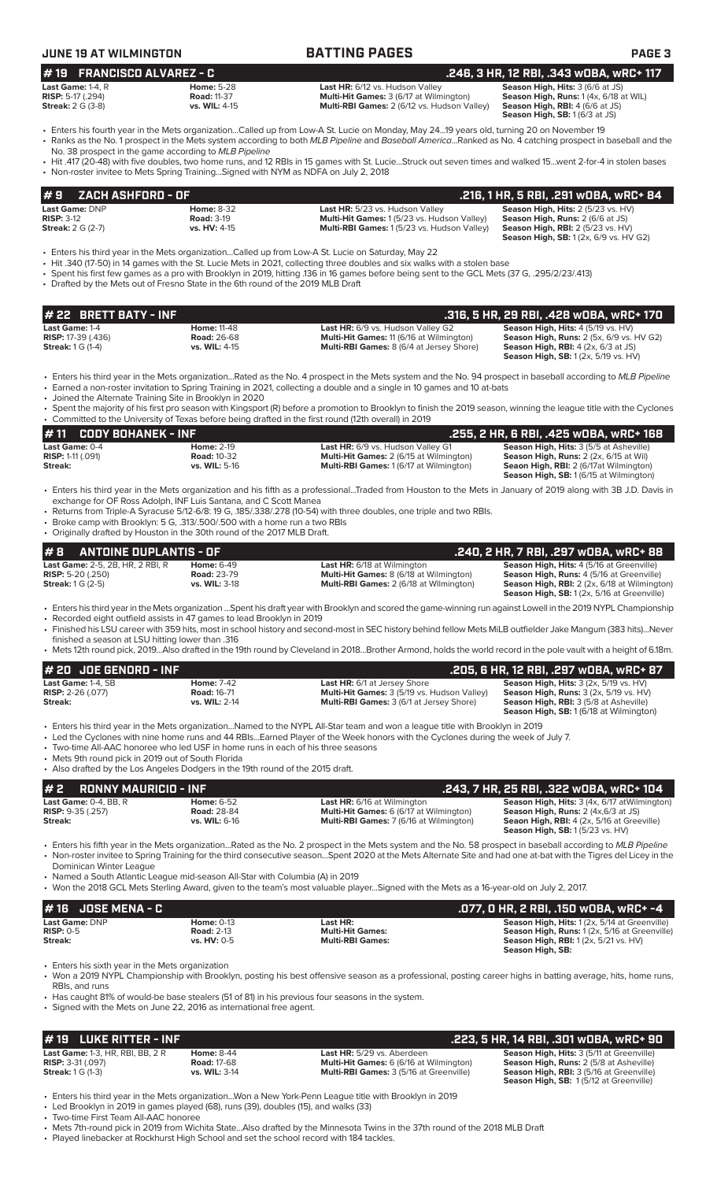| <b>JUNE 19 AT WILMINGTON</b>                                                                      |                                                                                                                                                                                                                            | <b>BATTING PAGES</b>                                                                                                                                                                                                                                                                                                                                                             | <b>PAGE 3</b>                                                                                                                                                                         |
|---------------------------------------------------------------------------------------------------|----------------------------------------------------------------------------------------------------------------------------------------------------------------------------------------------------------------------------|----------------------------------------------------------------------------------------------------------------------------------------------------------------------------------------------------------------------------------------------------------------------------------------------------------------------------------------------------------------------------------|---------------------------------------------------------------------------------------------------------------------------------------------------------------------------------------|
| <b>FRANCISCO ALVAREZ - C</b><br>#19                                                               |                                                                                                                                                                                                                            |                                                                                                                                                                                                                                                                                                                                                                                  | .246, 3 HR, 12 RBI, .343 WOBA, WRC+ 117                                                                                                                                               |
| Last Game: 1-4, R<br><b>RISP: 5-17 (.294)</b><br><b>Streak: 2 G (3-8)</b>                         | <b>Home: 5-28</b><br><b>Road: 11-37</b><br>vs. WIL: 4-15                                                                                                                                                                   | Last HR: 6/12 vs. Hudson Valley<br>Multi-Hit Games: 3 (6/17 at Wilmington)<br>Multi-RBI Games: 2 (6/12 vs. Hudson Valley)                                                                                                                                                                                                                                                        | Season High, Hits: 3 (6/6 at JS)<br>Season High, Runs: 1 (4x, 6/18 at WIL)<br>Season High, RBI: 4 (6/6 at JS)<br>Season High, SB: 1 (6/3 at JS)                                       |
|                                                                                                   |                                                                                                                                                                                                                            | • Enters his fourth year in the Mets organizationCalled up from Low-A St. Lucie on Monday, May 2419 years old, turning 20 on November 19<br>• Ranks as the No. 1 prospect in the Mets system according to both MLB Pipeline and Baseball AmericaRanked as No. 4 catching prospect in baseball and the                                                                            |                                                                                                                                                                                       |
|                                                                                                   | No. 38 prospect in the game according to MLB Pipeline<br>• Non-roster invitee to Mets Spring TrainingSigned with NYM as NDFA on July 2, 2018                                                                               | • Hit .417 (20-48) with five doubles, two home runs, and 12 RBIs in 15 games with St. LucieStruck out seven times and walked 15went 2-for-4 in stolen bases                                                                                                                                                                                                                      |                                                                                                                                                                                       |
| #9<br>ZACH ASHFORD - OF                                                                           |                                                                                                                                                                                                                            |                                                                                                                                                                                                                                                                                                                                                                                  | .216, 1 HR, 5 RBI, .291 wOBA, wRC+ 84                                                                                                                                                 |
| Last Game: DNP<br><b>RISP: 3-12</b><br><b>Streak:</b> 2 G (2-7)                                   | <b>Home: 8-32</b><br><b>Road: 3-19</b><br>vs. HV: 4-15                                                                                                                                                                     | Last HR: 5/23 vs. Hudson Valley<br>Multi-Hit Games: 1 (5/23 vs. Hudson Valley)<br>Multi-RBI Games: 1(5/23 vs. Hudson Valley)                                                                                                                                                                                                                                                     | Season High, Hits: 2 (5/23 vs. HV)<br>Season High, Runs: 2 (6/6 at JS)<br><b>Season High, RBI: 2 (5/23 vs. HV)</b><br><b>Season High, SB:</b> 1 (2x, 6/9 vs. HV G2)                   |
|                                                                                                   | • Drafted by the Mets out of Fresno State in the 6th round of the 2019 MLB Draft                                                                                                                                           | Enters his third year in the Mets organizationCalled up from Low-A St. Lucie on Saturday, May 22 •<br>• Hit .340 (17-50) in 14 games with the St. Lucie Mets in 2021, collecting three doubles and six walks with a stolen base<br>• Spent his first few games as a pro with Brooklyn in 2019, hitting .136 in 16 games before being sent to the GCL Mets (37 G, .295/2/23/.413) |                                                                                                                                                                                       |
| # 22 BRETT BATY - INF                                                                             |                                                                                                                                                                                                                            |                                                                                                                                                                                                                                                                                                                                                                                  | .316, 5 HR, 29 RBI, .428 wOBA, wRC+ 170                                                                                                                                               |
| Last Game: 1-4<br><b>RISP: 17-39 (.436)</b><br><b>Streak:</b> 1 G (1-4)                           | <b>Home: 11-48</b><br><b>Road: 26-68</b><br>vs. WIL: 4-15                                                                                                                                                                  | Last HR: 6/9 vs. Hudson Valley G2<br>Multi-Hit Games: 11 (6/16 at Wilmington)<br>Multi-RBI Games: 8 (6/4 at Jersey Shore)                                                                                                                                                                                                                                                        | Season High, Hits: 4 (5/19 vs. HV)<br><b>Season High, Runs:</b> 2 (5x, 6/9 vs. HV G2)<br>Season High, RBI: 4 (2x, 6/3 at JS)<br><b>Season High, SB:</b> 1 (2x, 5/19 vs. HV)           |
| • Joined the Alternate Training Site in Brooklyn in 2020                                          |                                                                                                                                                                                                                            | • Enters his third year in the Mets organizationRated as the No. 4 prospect in the Mets system and the No. 94 prospect in baseball according to MLB Pipeline<br>• Earned a non-roster invitation to Spring Training in 2021, collecting a double and a single in 10 games and 10 at-bats                                                                                         |                                                                                                                                                                                       |
|                                                                                                   |                                                                                                                                                                                                                            | Spent the majority of his first pro season with Kingsport (R) before a promotion to Brooklyn to finish the 2019 season, winning the league title with the Cyclones<br>• Committed to the University of Texas before being drafted in the first round (12th overall) in 2019                                                                                                      |                                                                                                                                                                                       |
| #11<br><b>CODY BOHANEK - INF</b>                                                                  |                                                                                                                                                                                                                            |                                                                                                                                                                                                                                                                                                                                                                                  | .255, 2 HR, 6 RBI, .425 wOBA, wRC+ 168                                                                                                                                                |
| Last Game: 0-4<br><b>RISP: 1-11 (.091)</b><br>Streak:                                             | <b>Home: 2-19</b><br><b>Road: 10-32</b><br>vs. WIL: 5-16                                                                                                                                                                   | Last HR: 6/9 vs. Hudson Valley G1<br>Multi-Hit Games: 2 (6/15 at Wilmington)<br>Multi-RBI Games: 1 (6/17 at Wilmington)                                                                                                                                                                                                                                                          | Season High, Hits: 3 (5/5 at Asheville)<br>Season High, Runs: 2 (2x, 6/15 at Wil)<br>Seaon High, RBI: 2 (6/17at Wilmington)<br>Season High, SB: 1 (6/15 at Wilmington)                |
|                                                                                                   | exchange for OF Ross Adolph, INF Luis Santana, and C Scott Manea<br>• Broke camp with Brooklyn: 5 G, .313/.500/.500 with a home run a two RBIs<br>• Originally drafted by Houston in the 30th round of the 2017 MLB Draft. | • Enters his third year in the Mets organization and his fifth as a professionalTraded from Houston to the Mets in January of 2019 along with 3B J.D. Davis in<br>• Returns from Triple-A Syracuse 5/12-6/8: 19 G, 185/.338/.278 (10-54) with three doubles, one triple and two RBIs.                                                                                            |                                                                                                                                                                                       |
| #8<br>ANTOINE DUPLANTIS - OF                                                                      |                                                                                                                                                                                                                            |                                                                                                                                                                                                                                                                                                                                                                                  | .240, 2 HR, 7 RBI, .297 wOBA, wRC+ 88                                                                                                                                                 |
| Last Game: 2-5, 2B, HR, 2 RBI, R<br><b>RISP:</b> 5-20 $(.250)$<br><b>Streak:</b> 1 G (2-5)        | <b>Home: 6-49</b><br><b>Road: 23-79</b><br>vs. WIL: 3-18                                                                                                                                                                   | <b>Last HR:</b> 6/18 at Wilmington<br>Multi-Hit Games: 8 (6/18 at Wilmington)<br>Multi-RBI Games: 2 (6/18 at Wilmington)                                                                                                                                                                                                                                                         | Season High, Hits: 4 (5/16 at Greenville)<br>Season High, Runs: 4 (5/16 at Greenville)<br>Season High, RBI: 2 (2x, 6/18 at Wilmington)<br>Season High, SB: 1 (2x, 5/16 at Greenville) |
| finished a season at LSU hitting lower than .316                                                  | • Recorded eight outfield assists in 47 games to lead Brooklyn in 2019                                                                                                                                                     | · Enters his third year in the Mets organization Spent his draft year with Brooklyn and scored the game-winning run against Lowell in the 2019 NYPL Championship<br>• Finished his LSU career with 359 hits, most in school history and second-most in SEC history behind fellow Mets MiLB outfielder Jake Mangum (383 hits)Never                                                |                                                                                                                                                                                       |
|                                                                                                   |                                                                                                                                                                                                                            | • Mets 12th round pick, 2019Also drafted in the 19th round by Cleveland in 2018Brother Armond, holds the world record in the pole vault with a height of 6.18m.                                                                                                                                                                                                                  |                                                                                                                                                                                       |
| # 20 JOE GENORD - INF<br>Last Game: 1-4, SB                                                       | <b>Home: 7-42</b>                                                                                                                                                                                                          | <b>Last HR:</b> 6/1 at Jersey Shore                                                                                                                                                                                                                                                                                                                                              | .205, 6 HR, 12 RBI, .297 wOBA, wRC+ 87<br>Season High, Hits: 3 (2x, 5/19 vs. HV)                                                                                                      |
| <b>RISP: 2-26 (.077)</b><br>Streak:                                                               | <b>Road: 16-71</b><br>vs. WIL: 2-14                                                                                                                                                                                        | Multi-Hit Games: 3 (5/19 vs. Hudson Valley)<br>Multi-RBI Games: 3 (6/1 at Jersey Shore)                                                                                                                                                                                                                                                                                          | Season High, Runs: 3 (2x, 5/19 vs. HV)<br>Season High, RBI: 3 (5/8 at Asheville)<br><b>Season High, SB: 1 (6/18 at Wilmington)</b>                                                    |
| • Mets 9th round pick in 2019 out of South Florida                                                | • Two-time All-AAC honoree who led USF in home runs in each of his three seasons                                                                                                                                           | • Enters his third year in the Mets organizationNamed to the NYPL All-Star team and won a league title with Brooklyn in 2019<br>• Led the Cyclones with nine home runs and 44 RBIsEarned Player of the Week honors with the Cyclones during the week of July 7.                                                                                                                  |                                                                                                                                                                                       |
|                                                                                                   | • Also drafted by the Los Angeles Dodgers in the 19th round of the 2015 draft.                                                                                                                                             |                                                                                                                                                                                                                                                                                                                                                                                  |                                                                                                                                                                                       |
| #2<br><b>RONNY MAURICIO - INF</b><br>Last Game: 0-4, BB, R<br>RISP: 9-35 (.257)<br><b>Streak:</b> | <b>Home: 6-52</b><br><b>Road: 28-84</b><br>vs. WIL: 6-16                                                                                                                                                                   | <b>Last HR:</b> 6/16 at Wilmington<br>Multi-Hit Games: 6 (6/17 at Wilmington)<br>Multi-RBI Games: 7 (6/16 at Wilmington)                                                                                                                                                                                                                                                         | .243, 7 HR, 25 RBI, .322 WOBA, WRC+ 104<br>Season High, Hits: 3 (4x, 6/17 atWilmington)<br>Season High, Runs: 2 (4x,6/3 at JS)<br>Seaon High, RBI: 4 (2x, 5/16 at Greeville)          |
|                                                                                                   |                                                                                                                                                                                                                            | • Enters his fifth year in the Mets organizationRated as the No. 2 prospect in the Mets system and the No. 58 prospect in baseball according to MLB Pipeline<br>• Non-roster invitee to Spring Training for the third consecutive seasonSpent 2020 at the Mets Alternate Site and had one at-bat with the Tigres del Licey in the                                                | <b>Season High, SB: 1 (5/23 vs. HV)</b>                                                                                                                                               |
| Dominican Winter League                                                                           | • Named a South Atlantic League mid-season All-Star with Columbia (A) in 2019                                                                                                                                              | • Won the 2018 GCL Mets Sterling Award, given to the team's most valuable playerSigned with the Mets as a 16-year-old on July 2, 2017.                                                                                                                                                                                                                                           |                                                                                                                                                                                       |
| <b>JOSE MENA - C</b><br># 16                                                                      |                                                                                                                                                                                                                            |                                                                                                                                                                                                                                                                                                                                                                                  | .077, 0 HR, 2 RBI, .150 w0BA, wRC+ -4                                                                                                                                                 |
| Last Game: DNP<br><b>RISP: 0-5</b><br>Streak:                                                     | <b>Home: 0-13</b><br><b>Road: 2-13</b><br>vs. HV: 0-5                                                                                                                                                                      | Last HR:<br><b>Multi-Hit Games:</b><br><b>Multi-RBI Games:</b>                                                                                                                                                                                                                                                                                                                   | Season High, Hits: 1 (2x, 5/14 at Greenville)<br>Season High, Runs: 1 (2x, 5/16 at Greenville)<br>Season High, RBI: 1 (2x, 5/21 vs. HV)<br>Season High, SB:                           |
| • Enters his sixth year in the Mets organization                                                  |                                                                                                                                                                                                                            | • Won a 2019 NYPL Championship with Brooklyn, posting his best offensive season as a professional, posting career highs in batting average, hits, home runs,                                                                                                                                                                                                                     |                                                                                                                                                                                       |
| RBIs, and runs                                                                                    |                                                                                                                                                                                                                            |                                                                                                                                                                                                                                                                                                                                                                                  |                                                                                                                                                                                       |

**# 19 LUKE RITTER - INF**<br> **19 LUKE RITTER - INF .223, 5 HR, 14 RBI, .301 WOBA, WRC+ 90**<br> **19 Last Game:** 1-3, HR, RBI, BB, 2 R<br> **19 RISP:** 3-31(.097) Road: 17-68 Multi-Hit Games: 6 (6/16 at Wilmington) Season High, Runs: **Last Game:** 1-3, HR, RBI, BB, 2 R **Home:** 8-44 **Last HR:** 5/29 vs. Aberdeen **Season High, Hits:** 3 (5/11 at Greenville) **RISP:** 3-31 (.097) **Road:** 17-68 **Multi-Hit Games:** 6 (6/16 at Wilmington) **Season High, Runs:** 2 (5/8 at Asheville) **Streak:** 1 G (1-3) **vs. WIL:** 3-14 **Multi-RBI Games:** 3 (5/16 at Greenville) **Season High, RBI:** 3 (5/16 at Greenville) **Season High, Hits: 3 (5/11 at Greenville)**<br>**Season High, Runs: 2 (5/8 at Asheville)**<br>**Season High, RBI: 3 (5/16 at Greenville)**<br>**Season High, SB:** 1 (5/12 at Greenville)

• Enters his third year in the Mets organization...Won a New York-Penn League title with Brooklyn in 2019

• Led Brooklyn in 2019 in games played (68), runs (39), doubles (15), and walks (33)

• Two-time First Team All-AAC honoree

• Mets 7th-round pick in 2019 from Wichita State...Also drafted by the Minnesota Twins in the 37th round of the 2018 MLB Draft • Played linebacker at Rockhurst High School and set the school record with 184 tackles.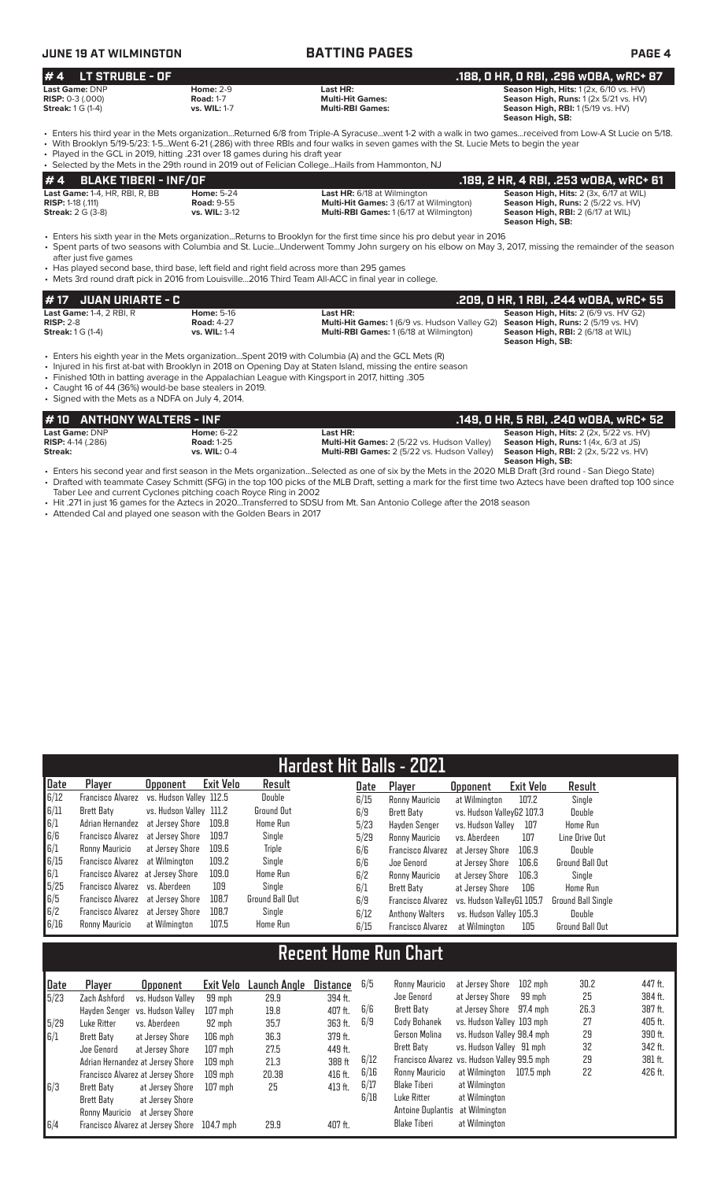# **JUNE 19 AT WILMINGTON BATTING PAGES PAGE 4**

### **# 4 LT STRUBLE - OF .188, 0 HR, 0 RBI, .296 wOBA, wRC+ 87 Last Game:** DNP **Home:** 2-9 **Last HR: Season High, Hits:** 1 (2x, 6/10 vs. HV) **RISP:** 0-3 (.000) **Road:** 1-7 **Multi-Hit Games: Season High, Runs:** 1 (2x 5/21 vs. HV) **Streak:** 1 G (1-4) **vs. WIL:** 1-7 **Multi-RBI Games: Season High, RBI:** 1 (5/19 vs. HV) **Season High, SB:**

• Enters his third year in the Mets organization...Returned 6/8 from Triple-A Syracuse...went 1-2 with a walk in two games...received from Low-A St Lucie on 5/18. • With Brooklyn 5/19-5/23: 1-5...Went 6-21 (.286) with three RBIs and four walks in seven games with the St. Lucie Mets to begin the year • Played in the GCL in 2019, hitting .231 over 18 games during his draft year

| • Selected by the Mets in the 29th round in 2019 out of Felician CollegeHails from Hammonton, NJ |                   |                                                |                                               |  |  |  |  |  |  |  |
|--------------------------------------------------------------------------------------------------|-------------------|------------------------------------------------|-----------------------------------------------|--|--|--|--|--|--|--|
| $\bm{\mu}$ 4 $\bm{\beta}$ BLAKE TIBERI - INF/OF                                                  |                   |                                                | .189. 2 HR. 4 RBI. .253 wOBA. wRC+ 61         |  |  |  |  |  |  |  |
| <b>Last Game:</b> 1-4, HR, RBI, R, BB                                                            | <b>Home: 5-24</b> | <b>Last HR:</b> 6/18 at Wilmington             | <b>Season High, Hits: 2 (3x, 6/17 at WIL)</b> |  |  |  |  |  |  |  |
| <b>RISP:</b> 1-18 $(.111)$                                                                       | <b>Road: 9-55</b> | <b>Multi-Hit Games: 3 (6/17 at Wilmington)</b> | Season High, Runs: 2 (5/22 vs. HV)            |  |  |  |  |  |  |  |
| <b>Streak:</b> 2 G (3-8)                                                                         | vs. WIL: 3-12     | <b>Multi-RBI Games: 1 (6/17 at Wilmington)</b> | <b>Season High, RBI:</b> 2 (6/17 at WIL)      |  |  |  |  |  |  |  |
|                                                                                                  |                   |                                                | Season High SR.                               |  |  |  |  |  |  |  |

 **Season High, SB:**  • Enters his sixth year in the Mets organization...Returns to Brooklyn for the first time since his pro debut year in 2016

• Spent parts of two seasons with Columbia and St. Lucie...Underwent Tommy John surgery on his elbow on May 3, 2017, missing the remainder of the season after just five games

• Has played second base, third base, left field and right field across more than 295 games • Mets 3rd round draft pick in 2016 from Louisville...2016 Third Team All-ACC in final year in college.

| 1# 17   JUAN URIARTE - C        |                   |                                                      | .209. O HR. 1 RBI. .244 WOBA. WRC+ 55       |
|---------------------------------|-------------------|------------------------------------------------------|---------------------------------------------|
| <b>Last Game: 1-4, 2 RBI, R</b> | <b>Home: 5-16</b> | Last HR:                                             | <b>Season High, Hits: 2 (6/9 vs. HV G2)</b> |
| $RISP: 2-8$                     | <b>Road: 4-27</b> | <b>Multi-Hit Games:</b> 1 (6/9 vs. Hudson Valley G2) | <b>Season High, Runs: 2 (5/19 vs. HV)</b>   |
| <b>Streak:</b> 1 G (1-4)        | vs. WIL: 1-4      | <b>Multi-RBI Games: 1 (6/18 at Wilmington)</b>       | Season High, RBI: 2 (6/18 at WIL)           |
|                                 |                   |                                                      | Season High, SB:                            |

• Enters his eighth year in the Mets organization...Spent 2019 with Columbia (A) and the GCL Mets (R)

• Injured in his first at-bat with Brooklyn in 2018 on Opening Day at Staten Island, missing the entire season

• Finished 10th in batting average in the Appalachian League with Kingsport in 2017, hitting .305

• Caught 16 of 44 (36%) would-be base stealers in 2019. • Signed with the Mets as a NDFA on July 4, 2014.

|                            | #10 ANTHONY WALTERS - INF |                                                                                                                                             | . .149, O HR, 5 RBI, .240 wOBA, wRC+ 52                  |
|----------------------------|---------------------------|---------------------------------------------------------------------------------------------------------------------------------------------|----------------------------------------------------------|
| Last Game: DNP             | <b>Home: 6-22</b>         | Last HR:                                                                                                                                    | <b>Season High, Hits:</b> $2$ ( $2x$ , $5/22$ vs. $HV$ ) |
| <b>RISP:</b> $4-14$ (.286) | <b>Road: 1-25</b>         | Multi-Hit Games: 2 (5/22 vs. Hudson Valley)                                                                                                 | <b>Season High, Runs:</b> $1(4x, 6/3$ at JS)             |
| Streak:                    | vs. WIL: 0-4              | <b>Multi-RBI Games:</b> 2 (5/22 vs. Hudson Valley)                                                                                          | <b>Season High, RBI:</b> 2 (2x, 5/22 vs. HV)             |
|                            |                           |                                                                                                                                             | Season High, SB:                                         |
|                            |                           | الملحلة المتحدث المستحد المتاكل العاملة المستحلف المناسب المتحكم والمتحدث والمستحدث المستحدث المستحد والمستحدث المستحدث والمستحدث والمستحدث |                                                          |

cond year and first season in the Mets organization...Selected as one of six by the Mets in the 2020 MLB Draft (3rd round - San Diego St • Drafted with teammate Casey Schmitt (SFG) in the top 100 picks of the MLB Draft, setting a mark for the first time two Aztecs have been drafted top 100 since Taber Lee and current Cyclones pitching coach Royce Ring in 2002

• Hit .271 in just 16 games for the Aztecs in 2020...Transferred to SDSU from Mt. San Antonio College after the 2018 season

• Attended Cal and played one season with the Golden Bears in 2017

|                                                   | <b>Hardest Hit Balls - 2021</b>        |                         |           |                        |      |                          |                           |           |                        |  |  |
|---------------------------------------------------|----------------------------------------|-------------------------|-----------|------------------------|------|--------------------------|---------------------------|-----------|------------------------|--|--|
| Date                                              | Player                                 | <b>Opponent</b>         | Exit Velo | Result                 | Date | Player                   | <b>Opponent</b>           | Exit Velo | Result                 |  |  |
| 6/12                                              | <b>Francisco Alvarez</b>               | vs. Hudson Vallev 112.5 |           | Double                 | 6/15 | Ronny Mauricio           | at Wilmington             | 107.2     | Single                 |  |  |
| 6/11                                              | Brett Baty                             | vs. Hudson Valley 111.2 |           | <b>Ground Out</b>      | 6/9  | Brett Baty               | vs. Hudson ValleyG2 107.3 |           | Double                 |  |  |
| $\begin{bmatrix} 6/1 \\ 6/6 \\ 6/1 \end{bmatrix}$ | Adrian Hernandez                       | at Jersev Shore         | 109.8     | <b>Home Run</b>        | 5/23 | Havden Senger            | vs. Hudson Vallev         | 107       | <b>Home Run</b>        |  |  |
|                                                   | <b>Francisco Alvarez</b>               | at Jersev Shore         | 109.7     | Single                 | 5/29 | Ronny Mauricio           | vs. Aberdeen              | 107       | Line Drive Out         |  |  |
|                                                   | Ronny Mauricio                         | at Jersey Shore         | 109.6     | Triple                 | 6/6  | <b>Francisco Alvarez</b> | at Jersev Shore           | 106.9     | Double                 |  |  |
| 6/15                                              | <b>Francisco Alvarez</b> at Wilmington |                         | 109.2     | Single                 | 6/6  | Joe Genord               | at Jersey Shore           | 106.6     | <b>Ground Ball Out</b> |  |  |
|                                                   | Francisco Alvarez at Jersey Shore      |                         | 109.0     | <b>Home Run</b>        | 6/2  | Ronny Mauricio           | at Jersey Shore           | 106.3     | Single                 |  |  |
| $\frac{6}{15}$                                    | Francisco Alvarez vs. Aberdeen         |                         | 109       | Single                 | 6/1  | Brett Baty               | at Jersey Shore           | 106       | Home Run               |  |  |
| $\begin{array}{c} 6/5 \\ 6/2 \end{array}$         | Francisco Alvarez at Jersey Shore      |                         | 108.7     | <b>Ground Ball Out</b> | 6/9  | Francisco Alvarez        | vs. Hudson VallevG1 105.7 |           | Ground Ball Single     |  |  |
|                                                   | Francisco Alvarez at Jersey Shore      |                         | 108.7     | Single                 | 6/12 | <b>Anthony Walters</b>   | vs. Hudson Valley 105.3   |           | Double                 |  |  |
| 6/16                                              | Ronny Mauricio                         | at Wilmington           | 107.5     | <b>Home Run</b>        | 6/15 | Francisco Alvarez        | at Wilmington             | 105       | <b>Ground Ball Out</b> |  |  |

# **Recent Home Run Chart**

| Date         | Player         | <b>Opponent</b>                   | Exit Velo | Launch Angle | <b>Distance</b> | 6/5  | Ronny Mauricio                               | at Jersev Shore            | 102 mph   | 30.2 | 447 ft. |
|--------------|----------------|-----------------------------------|-----------|--------------|-----------------|------|----------------------------------------------|----------------------------|-----------|------|---------|
| 5/23         | Zach Ashford   | vs. Hudson Valley                 | 99 mph    | 29.9         | 394 ft.         |      | Joe Genord                                   | at Jersey Shore            | 99 mph    | 25   | 384 ft. |
|              | Havden Senger  | vs. Hudson Vallev                 | 107 mph   | 19.8         | 407 ft.         | 6/6  | Brett Baty                                   | at Jersey Shore            | 97.4 mph  | 26.3 | 387 ft. |
| 5/29         | Luke Ritter    | vs. Aberdeen                      | 92 mph    | 35.7         | 363 ft.         | 6/9  | Cody Bohanek                                 | vs. Hudson Valley 103 mph  |           | 27   | 405 ft. |
| $\sqrt{6/1}$ | Brett Baty     | at Jersey Shore                   | $106$ mph | 36.3         | 379 ft.         |      | Gerson Molina                                | vs. Hudson Valley 98.4 mph |           | 29   | 390 ft. |
|              | Joe Genord     | at Jersev Shore                   | 107 mph   | 27.5         | 449 ft.         |      | Brett Baty                                   | vs. Hudson Valley 91 mph   |           | 32   | 342 ft. |
|              |                | Adrian Hernandez at Jersey Shore  | $109$ mph | 21.3         | 388 ft          | 6/12 | Francisco Alvarez vs. Hudson Valley 99.5 mph |                            |           | 29   | 381 ft. |
|              |                | Francisco Alvarez at Jersey Shore | 109 mph   | 20.38        | 416 ft.         | 6/16 | Ronny Mauricio                               | at Wilmington              | 107.5 mph | 22   | 426 ft. |
| 6/3          | Brett Baty     | at Jersey Shore                   | 107 mph   | 25           | 413 ft.         | 6/17 | Blake Tiberi                                 | at Wilmington              |           |      |         |
|              | Brett Baty     | at Jersey Shore                   |           |              |                 | 6/18 | Luke Ritter                                  | at Wilmington              |           |      |         |
|              | Ronny Mauricio | at Jersev Shore                   |           |              |                 |      | Antoine Duplantis                            | at Wilmington              |           |      |         |
| 6/4          |                | Francisco Alvarez at Jersey Shore | 104.7 mph | 29.9         | 407 ft.         |      | Blake Tiberi                                 | at Wilmington              |           |      |         |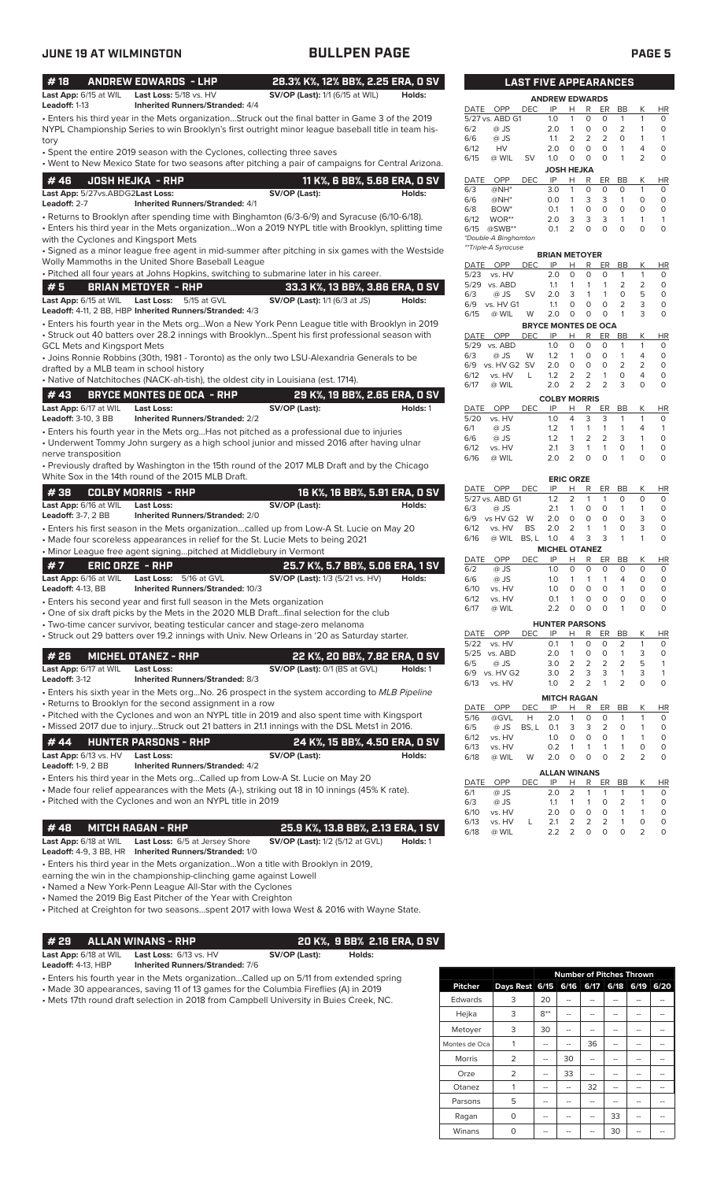| #18                                                 |                        | <b>ANDREW EDWARDS - LHP</b>                                                                                                                                                            | 28.3% K%, 12% BB%, 2.25 ERA, 0 SV      |          |              |                           | <b>LAST FIVE APPEARANCES</b> |                            |                                |                                                    |                                |                              |                                    |
|-----------------------------------------------------|------------------------|----------------------------------------------------------------------------------------------------------------------------------------------------------------------------------------|----------------------------------------|----------|--------------|---------------------------|------------------------------|----------------------------|--------------------------------|----------------------------------------------------|--------------------------------|------------------------------|------------------------------------|
| Last App: 6/15 at WIL                               |                        | Last Loss: 5/18 vs. HV                                                                                                                                                                 | <b>SV/OP (Last):</b> 1/1 (6/15 at WIL) | Holds:   |              |                           |                              | <b>ANDREW EDWARDS</b>      |                                |                                                    |                                |                              |                                    |
| Leadoff: 1-13                                       |                        | <b>Inherited Runners/Stranded: 4/4</b>                                                                                                                                                 |                                        |          | DATE         | OPP                       | <b>DEC</b>                   | IP                         | Н                              | R<br>ER                                            | BB                             | Κ                            | <b>HR</b>                          |
|                                                     |                        | . Enters his third year in the Mets organizationStruck out the final batter in Game 3 of the 2019                                                                                      |                                        |          | 6/2          | 5/27 vs. ABD G1<br>$@$ JS |                              | 1.0<br>2.0                 | $\mathbf{1}$<br>$\overline{1}$ | $\circ$<br>0<br>$\circ$<br>$\circ$                 | $\mathbf{1}$<br>$\overline{2}$ | $\mathbf{1}$<br>$\mathbf{1}$ | $\circ$<br>$\circ$                 |
|                                                     |                        | NYPL Championship Series to win Brooklyn's first outright minor league baseball title in team his-                                                                                     |                                        |          | 6/6          | @ JS                      |                              | 1.1                        | $\overline{2}$                 | $\overline{2}$<br>2                                | $\circ$                        | $\mathbf{1}$                 | $\mathbf{1}$                       |
| tory                                                |                        | • Spent the entire 2019 season with the Cyclones, collecting three saves                                                                                                               |                                        |          | 6/12         | HV                        |                              | 2.0                        | $\circ$                        | $\circ$<br>$\circ$                                 | $\mathbf{1}$                   | $\overline{4}$               | $\circ$                            |
|                                                     |                        | • Went to New Mexico State for two seasons after pitching a pair of campaigns for Central Arizona.                                                                                     |                                        |          | 6/15         | @ WIL                     | <b>SV</b>                    | 1.0                        | 0                              | $\circ$<br>$\circ$                                 | $\overline{1}$                 | $\overline{2}$               | $\mathbf 0$                        |
|                                                     |                        |                                                                                                                                                                                        |                                        |          |              |                           |                              |                            | JOSH HEJKA                     |                                                    |                                |                              |                                    |
| #46                                                 |                        | <b>JOSH HEJKA - RHP</b>                                                                                                                                                                | 11 K%, 6 BB%, 5.68 ERA, 0 SV           |          | DATE<br>6/3  | OPP<br>@NH*               | <b>DEC</b>                   | IP<br>3.0                  | н<br>$\mathbf{1}$              | R<br>ER<br>$\circ$<br>0                            | BB<br>$\circ$                  | К<br>$\mathbf{1}$            | <b>HR</b><br>0                     |
| Last App: 5/27vs.ABDG2Last Loss:<br>Leadoff: 2-7    |                        | <b>Inherited Runners/Stranded: 4/1</b>                                                                                                                                                 | SV/OP (Last):                          | Holds:   | 6/6          | $@NH*$                    |                              | 0.0                        | $\mathbf{1}$                   | 3<br>3                                             | $\mathbf{1}$                   | $\circ$                      | $\circ$                            |
|                                                     |                        | • Returns to Brooklyn after spending time with Binghamton (6/3-6/9) and Syracuse (6/10-6/18).                                                                                          |                                        |          | 6/8          | BOW <sup>*</sup>          |                              | 0.1                        | $\mathbf{1}$                   | 0<br>$\circ$                                       | $\circ$                        | $\circ$                      | $\mathbf 0$                        |
|                                                     |                        | . Enters his third year in the Mets organizationWon a 2019 NYPL title with Brooklyn, splitting time                                                                                    |                                        |          | 6/12<br>6/15 | WOR**<br>$@SWB**$         |                              | 2.0<br>0.1                 | 3<br>2                         | 3<br>3<br>$\circ$<br>$\mathbf 0$                   | $\mathbf{1}$<br>$\circ$        | $\mathbf{1}$<br>$\circ$      | $\mathbf{1}$<br>$\circ$            |
|                                                     |                        | with the Cyclones and Kingsport Mets                                                                                                                                                   |                                        |          |              | *Double-A Binghamton      |                              |                            |                                |                                                    |                                |                              |                                    |
|                                                     |                        | · Signed as a minor league free agent in mid-summer after pitching in six games with the Westside                                                                                      |                                        |          |              | **Triple-A Syracuse       |                              | <b>BRIAN METOYER</b>       |                                |                                                    |                                |                              |                                    |
|                                                     |                        | Wolly Mammoths in the United Shore Baseball League                                                                                                                                     |                                        |          |              | DATE OPP                  | DEC.                         | IP                         | н                              | R<br>ER                                            | BB                             | К                            | <b>HR</b>                          |
|                                                     |                        | . Pitched all four years at Johns Hopkins, switching to submarine later in his career.                                                                                                 |                                        |          | 5/23         | vs. HV                    |                              | 2.0                        | $\circ$                        | 0<br>$\mathbf 0$                                   | $\mathbf{1}$                   | $\mathbf{1}$                 | $\circ$                            |
| #5                                                  |                        | <b>BRIAN METOYER - RHP</b>                                                                                                                                                             | 33.3 K%, 13 BB%, 3.86 ERA, 0 SV        |          |              | 5/29 vs. ABD              |                              | 1.1                        | 1                              | $\overline{1}$<br>$\mathbf{1}$                     | 2                              | $\overline{2}$               | $\circ$                            |
| Last App: 6/15 at WIL                               |                        | <b>Last Loss:</b> 5/15 at GVL                                                                                                                                                          | <b>SV/OP (Last):</b> 1/1 (6/3 at JS)   | Holds:   | 6/3          | $@$ JS<br>6/9 vs. HV G1   | <b>SV</b>                    | 2.0<br>1.1                 | 3<br>0                         | $\mathbf{1}$<br>$\mathbf{1}$<br>$\circ$<br>$\circ$ | $\circ$<br>$\overline{2}$      | 5<br>3                       | $\circ$<br>$\circ$                 |
|                                                     |                        | Leadoff: 4-11, 2 BB, HBP Inherited Runners/Stranded: 4/3                                                                                                                               |                                        |          | 6/15         | @ WIL                     | W                            | 2.0                        | 0                              | $\circ$<br>$\mathbf 0$                             | 1                              | 3                            | $\circ$                            |
|                                                     |                        | · Enters his fourth year in the Mets orgWon a New York Penn League title with Brooklyn in 2019                                                                                         |                                        |          |              |                           |                              | <b>BRYCE MONTES DE OCA</b> |                                |                                                    |                                |                              |                                    |
|                                                     |                        | • Struck out 40 batters over 28.2 innings with BrooklynSpent his first professional season with                                                                                        |                                        |          | DATE         | OPP                       | DEC                          | IP                         | н                              | R<br>ER                                            | BB                             | К                            | <b>HR</b>                          |
| <b>GCL Mets and Kingsport Mets</b>                  |                        |                                                                                                                                                                                        |                                        |          | 5/29<br>6/3  | vs. ABD<br>@ JS           | W                            | 1.0<br>1.2                 | 0<br>$\mathbf{1}$              | $\circ$<br>0<br>$\circ$<br>$\circ$                 | $\mathbf{1}$<br>$\mathbf{1}$   | $\mathbf{1}$<br>4            | 0<br>$\circ$                       |
|                                                     |                        | • Joins Ronnie Robbins (30th, 1981 - Toronto) as the only two LSU-Alexandria Generals to be                                                                                            |                                        |          | 6/9          | vs. HV G2 SV              |                              | 2.0                        | $\circ$                        | $\circ$<br>$\circ$                                 | $\overline{2}$                 | $\overline{2}$               | $\circ$                            |
|                                                     |                        | drafted by a MLB team in school history<br>• Native of Natchitoches (NACK-ah-tish), the oldest city in Louisiana (est. 1714).                                                          |                                        |          | 6/12         | vs. HV                    | L                            | 1.2                        | 2                              | 2<br>$\mathbf{1}$                                  | $\circ$                        | $\overline{4}$               | $\circ$                            |
|                                                     |                        |                                                                                                                                                                                        |                                        |          | 6/17         | @ WIL                     |                              | 2.0                        | 2                              | 2<br>$\overline{2}$                                | 3                              | $\circ$                      | $\circ$                            |
| #43                                                 |                        | <b>BRYCE MONTES DE OCA - RHP</b>                                                                                                                                                       | 29 K%, 19 BB%, 2.65 ERA, 0 SV          |          |              |                           |                              | <b>COLBY MORRIS</b>        |                                |                                                    |                                |                              |                                    |
| Last App: 6/17 at WIL<br><b>Leadoff: 3-10, 3 BB</b> |                        | <b>Last Loss:</b><br><b>Inherited Runners/Stranded: 2/2</b>                                                                                                                            | SV/OP (Last):                          | Holds: 1 | DATE<br>5/20 | OPP<br>vs. HV             | <b>DEC</b>                   | IP<br>1.0                  | н<br>4                         | R<br>ER<br>3<br>3                                  | BB<br>1                        | К<br>$\mathbf{1}$            | <b>HR</b><br>0                     |
|                                                     |                        |                                                                                                                                                                                        |                                        |          | 6/1          | @ JS                      |                              | 1.2                        | $\mathbf{1}$                   | $\mathbf{1}$<br>1                                  | $\mathbf{1}$                   | 4                            | $\mathbf{1}$                       |
|                                                     |                        | • Enters his fourth year in the Mets orgHas not pitched as a professional due to injuries<br>• Underwent Tommy John surgery as a high school junior and missed 2016 after having ulnar |                                        |          | 6/6          | $@$ JS                    |                              | 1.2                        | $\mathbf{1}$                   | $\overline{2}$<br>2                                | 3                              | $\mathbf{1}$                 | $\mathbf 0$                        |
| nerve transposition                                 |                        |                                                                                                                                                                                        |                                        |          | 6/12         | vs. HV                    |                              | 2.1                        | 3                              | $\mathbf{1}$<br>$\mathbf{1}$                       | $\circ$                        | $\mathbf{1}$                 | $\circ$                            |
|                                                     |                        | • Previously drafted by Washington in the 15th round of the 2017 MLB Draft and by the Chicago                                                                                          |                                        |          | 6/16         | @ WIL                     |                              | 2.0                        | 2                              | $\circ$<br>$\circ$                                 | $\mathbf{1}$                   | $\circ$                      | $\mathbf 0$                        |
|                                                     |                        | White Sox in the 14th round of the 2015 MLB Draft.                                                                                                                                     |                                        |          |              |                           |                              |                            | <b>ERIC ORZE</b>               |                                                    |                                |                              |                                    |
| #38                                                 |                        | <b>COLBY MORRIS - RHP</b>                                                                                                                                                              | 16 K%, 16 BB%, 5.91 ERA, 0 SV          |          |              | DATE OPP                  | DEC.                         | IP                         | Н                              | R<br>ER                                            | BB                             | К                            | <b>HR</b>                          |
| Last App: 6/16 at WIL                               |                        | <b>Last Loss:</b>                                                                                                                                                                      | SV/OP (Last):                          | Holds:   |              | 5/27 vs. ABD G1           |                              | 1.2                        | 2                              | $\mathbf{1}$<br>$\mathbf{1}$                       | $\Omega$                       | $\Omega$                     | $\circ$                            |
| <b>Leadoff: 3-7, 2 BB</b>                           |                        | <b>Inherited Runners/Stranded: 2/0</b>                                                                                                                                                 |                                        |          | 6/3<br>6/9   | $@$ JS<br>vs HV G2 W      |                              | 2.1<br>2.0                 | $\mathbf{1}$<br>0              | $\circ$<br>$\circ$<br>$\circ$<br>0                 | $\mathbf{1}$<br>$\circ$        | $\mathbf{1}$<br>3            | $\circ$<br>$\mathbf 0$             |
|                                                     |                        | • Enters his first season in the Mets organizationcalled up from Low-A St. Lucie on May 20                                                                                             |                                        |          | 6/12         | vs. HV                    | <b>BS</b>                    | 2.0                        | $\overline{2}$                 | $\mathbf{1}$<br>1                                  | $\circ$                        | 3                            | $\mathbf 0$                        |
|                                                     |                        | • Made four scoreless appearances in relief for the St. Lucie Mets to being 2021                                                                                                       |                                        |          | 6/16         | @ WIL                     | BS, L                        | 1.0                        | 4                              | 3<br>3                                             | $\overline{1}$                 | $\mathbf{1}$                 | $\mathbf 0$                        |
|                                                     |                        | • Minor League free agent signingpitched at Middlebury in Vermont                                                                                                                      |                                        |          |              |                           |                              | <b>MICHEL OTANEZ</b>       |                                |                                                    |                                |                              |                                    |
| #7                                                  | <b>ERIC ORZE - RHP</b> |                                                                                                                                                                                        | 25.7 K%, 5.7 BB%, 5.06 ERA, 1 SV       |          | DATE<br>6/2  | OPP<br>@ JS               | <b>DEC</b>                   | IP<br>1.0                  | н<br>$\circ$                   | R<br>ER<br>$\circ$<br>$\circ$                      | BB<br>$\Omega$                 | К<br>$\circ$                 | <b>HR</b><br>0                     |
| Last App: 6/16 at WIL                               |                        | Last Loss: 5/16 at GVL                                                                                                                                                                 | <b>SV/OP (Last):</b> 1/3 (5/21 vs. HV) | Holds:   | 6/6          | $@$ JS                    |                              | 1.0                        | $\mathbf{1}$                   | $\mathbf{1}$<br>$\mathbf{1}$                       | 4                              | $\circ$                      | $\circ$                            |
| <b>Leadoff: 4-13, BB</b>                            |                        | <b>Inherited Runners/Stranded: 10/3</b>                                                                                                                                                |                                        |          | 6/10         | vs. HV                    |                              | 1.0                        | 0                              | 0<br>0                                             | $\mathbf{1}$                   | $\circ$                      | 0                                  |
|                                                     |                        | • Enters his second year and first full season in the Mets organization                                                                                                                |                                        |          | 6/12         | vs. HV                    |                              | 0.1                        | $\overline{1}$                 | 0<br>0                                             | 0                              | 0                            | 0                                  |
|                                                     |                        | • One of six draft picks by the Mets in the 2020 MLB Draftfinal selection for the club                                                                                                 |                                        |          | 6/17         | @ WIL                     |                              | 2.2                        | 0                              | 0<br>0                                             | 1                              | 0                            | 0                                  |
|                                                     |                        | · Two-time cancer survivor, beating testicular cancer and stage-zero melanoma                                                                                                          |                                        |          |              |                           |                              | <b>HUNTER PARSONS</b>      |                                |                                                    |                                |                              |                                    |
|                                                     |                        | • Struck out 29 batters over 19.2 innings with Univ. New Orleans in '20 as Saturday starter.                                                                                           |                                        |          | DATE<br>5/22 | OPP<br>vs. HV             | DEC.                         | IP<br>0.1                  | Н<br>$\mathbf{1}$              | $\mathsf{R}$<br>ER<br>$\mathsf O$<br>0             | BB<br>$\overline{2}$           | Κ<br>$\mathbf{1}$            | HR<br>0                            |
| # 26                                                |                        | <b>MICHEL OTANEZ - RHP</b>                                                                                                                                                             | 22 K%, 20 BB%, 7.82 ERA, 0 SV          |          |              | 5/25 vs. ABD              |                              | 2.0                        | $\mathbf{1}$                   | 0<br>$\circ$                                       | $\mathbf{1}$                   | 3                            | 0                                  |
| Last App: 6/17 at WIL                               |                        | <b>Last Loss:</b>                                                                                                                                                                      | <b>SV/OP (Last): 0/1 (BS at GVL)</b>   |          | 6/5          | @ JS                      |                              | 3.0                        | $\overline{2}$                 | $\mathbf 2$<br>2                                   | $\overline{2}$                 | 5                            | $\mathbf{1}$                       |
| Leadoff: 3-12                                       |                        | Inherited Runners/Stranded: 8/3                                                                                                                                                        |                                        | Holds: 1 |              | 6/9 vs. HV G2             |                              | 3.0                        | $\overline{2}$                 | 3<br>3                                             | $\mathbf{1}$                   | 3                            | $\mathbf{1}$                       |
|                                                     |                        | • Enters his sixth year in the Mets orgNo. 26 prospect in the system according to MLB Pipeline                                                                                         |                                        |          | 6/13         | vs. HV                    |                              | 1.0                        | 2                              | $\overline{2}$<br>$\mathbf{1}$                     | $\overline{2}$                 | $\circ$                      | 0                                  |
|                                                     |                        | • Returns to Brooklyn for the second assignment in a row                                                                                                                               |                                        |          |              |                           |                              | <b>MITCH RAGAN</b>         |                                |                                                    |                                |                              |                                    |
|                                                     |                        | • Pitched with the Cyclones and won an NYPL title in 2019 and also spent time with Kingsport                                                                                           |                                        |          | DATE<br>5/16 | OPP<br>@GVL               | <b>DEC</b><br>Н              | IP<br>2.0                  | Н<br>1                         | R<br>ER<br>0<br>0                                  | <b>BB</b><br>$\mathbf{1}$      | Κ<br>1                       | HR<br>0                            |
|                                                     |                        | • Missed 2017 due to injuryStruck out 21 batters in 21.1 innings with the DSL Mets1 in 2016.                                                                                           |                                        |          | 6/5          | @ JS                      | BS, L                        | 0.1                        | 3                              | 3<br>$\overline{2}$                                | 0                              | 1                            | $\mathsf O$                        |
| #44                                                 |                        | <b>HUNTER PARSONS - RHP</b>                                                                                                                                                            | 24 K%, 15 BB%, 4.50 ERA, 0 SV          |          | 6/12         | vs. HV                    |                              | 1.0                        | $\circ$                        | $\circ$<br>$\circ$                                 | $\mathbf{1}$                   | 1                            | $\circ$                            |
| Last App: 6/13 vs. HV                               |                        | <b>Last Loss:</b>                                                                                                                                                                      | SV/OP (Last):                          | Holds:   | 6/13         | vs. HV                    |                              | 0.2<br>2.0                 | $\mathbf{1}$<br>0              | $\mathbf{1}$<br>1<br>$\mathbf 0$<br>$\circ$        | 1<br>$\overline{2}$            | 0<br>$\overline{2}$          | $\mathsf{O}\xspace$<br>$\mathsf O$ |
| <b>Leadoff: 1-9, 2 BB</b>                           |                        | <b>Inherited Runners/Stranded: 4/2</b>                                                                                                                                                 |                                        |          | 6/18         | @ WIL                     | W                            |                            |                                |                                                    |                                |                              |                                    |
|                                                     |                        | • Enters his third year in the Mets orgCalled up from Low-A St. Lucie on May 20                                                                                                        |                                        |          |              |                           |                              | <b>ALLAN WINANS</b>        |                                |                                                    |                                | К                            |                                    |
|                                                     |                        | • Made four relief appearances with the Mets (A-), striking out 18 in 10 innings (45% K rate).                                                                                         |                                        |          | DATE<br>6/1  | OPP<br>@ JS               | <b>DEC</b>                   | IP<br>2.0                  | Н<br>$\overline{2}$            | $\mathbb{R}$<br><u>ER</u><br>1<br>1                | $\overline{BB}$<br>1           | $\mathbf{1}$                 | HR<br>0                            |
|                                                     |                        | • Pitched with the Cyclones and won an NYPL title in 2019                                                                                                                              |                                        |          | 6/3          | @ JS                      |                              | 1.1                        | $\mathbf{1}$                   | 1<br>0                                             | 2                              | $\mathbf{1}$                 | $\circ$                            |
|                                                     |                        |                                                                                                                                                                                        |                                        |          | 6/10         | vs. HV                    |                              | 2.0                        | 0                              | $\circ$<br>$\mathsf O$                             | $\mathbf{1}$                   | 1                            | $\mathsf O$                        |
| #48                                                 |                        | <b>MITCH RAGAN - RHP</b>                                                                                                                                                               | 25.9 K%, 13.8 BB%, 2.13 ERA, 1 SV      |          | 6/13<br>6/18 | vs. HV<br>@ WIL           | L                            | 2.1<br>2.2                 | $\overline{2}$<br>2            | $\overline{2}$<br>2<br>$\mathsf O$<br>$\circ$      | 1<br>$\circ$                   | 0<br>2                       | $\mathsf O$<br>$\mathsf O$         |
| Last App: 6/18 at WIL                               |                        | Last Loss: 6/5 at Jersey Shore                                                                                                                                                         | <b>SV/OP (Last):</b> 1/2 (5/12 at GVL) | Holds: 1 |              |                           |                              |                            |                                |                                                    |                                |                              |                                    |
|                                                     |                        | Leadoff: 4-9, 3 BB, HR Inherited Runners/Stranded: 1/0                                                                                                                                 |                                        |          |              |                           |                              |                            |                                |                                                    |                                |                              |                                    |
|                                                     |                        | • Enters his third year in the Mets organizationWon a title with Brooklyn in 2019,                                                                                                     |                                        |          |              |                           |                              |                            |                                |                                                    |                                |                              |                                    |
|                                                     |                        | earning the win in the championship-clinching game against Lowell                                                                                                                      |                                        |          |              |                           |                              |                            |                                |                                                    |                                |                              |                                    |
|                                                     |                        | • Named a New York-Penn League All-Star with the Cyclones                                                                                                                              |                                        |          |              |                           |                              |                            |                                |                                                    |                                |                              |                                    |
|                                                     |                        | • Named the 2019 Big East Pitcher of the Year with Creighton                                                                                                                           |                                        |          |              |                           |                              |                            |                                |                                                    |                                |                              |                                    |
|                                                     |                        | . Pitched at Creighton for two seasonsspent 2017 with lowa West & 2016 with Wayne State.                                                                                               |                                        |          |              |                           |                              |                            |                                |                                                    |                                |                              |                                    |

# **LAST FIVE APPEARANCES ANDREW EDWARDS**

| <b>DATE</b>       | OPP                  | <b>DEC</b> | IP  | н | R        | ER       | <b>BB</b>      | Κ | <b>HR</b> |  |  |
|-------------------|----------------------|------------|-----|---|----------|----------|----------------|---|-----------|--|--|
|                   | 5/27 vs. ABD G1      |            | 1.0 | 1 | 0        | $\Omega$ | 1              | 1 | 0         |  |  |
| 6/2               | $@$ JS               |            | 2.0 | 1 | 0        | O        | $\overline{2}$ | 1 | 0         |  |  |
| 6/6               | $@$ JS               |            | 1.1 | 2 | 2        | 2        | O              | 1 | 1         |  |  |
| 6/12              | HV                   |            | 2.0 | 0 | 0        | O        | 1              | 4 | 0         |  |  |
| 6/15              | @ WIL                | SV         | 1.0 | 0 | 0        | O        | 1              | 2 | 0         |  |  |
| <b>JOSH HEJKA</b> |                      |            |     |   |          |          |                |   |           |  |  |
| <b>DATE</b>       | OPP                  | <b>DEC</b> | IP  | н | R        | ER       | <b>BB</b>      | Κ | <b>HR</b> |  |  |
| 6/3               | $@NH*$               |            | 3.0 | 1 | $\Omega$ | $\Omega$ | O              | 1 | 0         |  |  |
| 6/6               | $@NH*$               |            | 0.0 | 1 | 3        | 3        | 1              | 0 | 0         |  |  |
| 6/8               | BOW <sup>*</sup>     |            | 0.1 | 1 | 0        | O        | O              | 0 | 0         |  |  |
| 6/12              | WOR**                |            | 2.0 | 3 | 3        | 3        | 1              | 1 | 1         |  |  |
| 6/15              | $@SWB**$             |            | 0.1 | 2 | $\Omega$ | $\Omega$ | O              | 0 | 0         |  |  |
|                   | *Double-A Binghamton |            |     |   |          |          |                |   |           |  |  |
|                   | **Triple-A Syracuse  |            |     |   |          |          |                |   |           |  |  |
|                   | <b>BRIAN METOYER</b> |            |     |   |          |          |                |   |           |  |  |

| DATE        | OPP       | DEC        | IP                         | н | R              | ER             | <b>BB</b>      | Κ | ΗR       |
|-------------|-----------|------------|----------------------------|---|----------------|----------------|----------------|---|----------|
| 5/23        | vs. HV    |            | 2.0                        | 0 | 0              | 0              | 1              | 1 | 0        |
| 5/29        | vs. ABD   |            | 1.1                        | 1 | 1              | 1              | $\overline{2}$ | 2 | 0        |
| 6/3         | @ JS      | SV         | 2.0                        | 3 | 1              | 1              | 0              | 5 | 0        |
| 6/9         | vs. HV G1 |            | 1.1                        | 0 | 0              | 0              | $\overline{2}$ | 3 | 0        |
| 6/15        | @ WIL     | W          | 2.0                        | 0 | 0              | 0              | 1              | 3 | 0        |
|             |           |            | <b>BRYCE MONTES DE OCA</b> |   |                |                |                |   |          |
| <b>DATE</b> | OPP       | DEC        | IP                         | н | R              | ER             | BB             | Κ | HR       |
| 5/29        | vs. ABD   |            | 1.0                        | 0 | 0              | O              | 1              | 1 | $\Omega$ |
| 6/3         | @ JS      | W          | 1.2                        | 1 | 0              | $\Omega$       | 1              | 4 | 0        |
| 6/9         | vs. HV G2 | SV         | 2.0                        | 0 | 0              | $\Omega$       | 2              | 2 | 0        |
| 6/12        | vs. HV    | L          | 1.2                        | 2 | 2              | 1              | O              | 4 | 0        |
| 6/17        | @ WIL     |            | 2.0                        | 2 | $\overline{2}$ | $\overline{2}$ | 3              | 0 | 0        |
|             |           |            | <b>COLBY MORRIS</b>        |   |                |                |                |   |          |
| <b>DATE</b> | OPP       | <b>DEC</b> | IP                         | н | R              | ER             | <b>BB</b>      | Κ | ΗR       |
| 5/20        | vs. HV    |            | 1.0                        | 4 | 3              | 3              | 1              | 1 | 0        |
| 6/1         | @ JS      |            | 1.2                        | 1 | 1              | 1              | 1              | 4 | 1        |
| 6/6         | @ JS      |            | 1.2                        | 1 | 2              | $\overline{2}$ | 3              | 1 | 0        |
| 6/12        | vs. HV    |            | 2.1                        | 3 | 1              | 1              | 0              |   | 0        |
|             |           |            |                            |   |                |                |                |   |          |

| # 38      COLBY MORRIS  - RHP |            |  | . 16 K%, 16 BB%, 5.91 ERA, 0 SV |        |  |  |  |
|-------------------------------|------------|--|---------------------------------|--------|--|--|--|
| <b>Last App:</b> 6/16 at WIL  | Last Loss: |  | SV/OP (Last):                   | Holds: |  |  |  |
| .                             |            |  |                                 |        |  |  |  |

| #7                           | ERIC ORZE - RHP |                               | 25.7 K%, 5.7 BB%, 5.06 ERA, 1 SV       |        |
|------------------------------|-----------------|-------------------------------|----------------------------------------|--------|
| <b>Last App:</b> 6/16 at WIL |                 | <b>Last Loss:</b> 5/16 at GVL | <b>SV/OP (Last):</b> 1/3 (5/21 vs. HV) | Holds: |

- 
- 

| $#26$ MICHEL OTANEZ - RHP    |                                                                                                  | 22 K%, 20 BB%, 7.82 ERA, 0 SV     |          |
|------------------------------|--------------------------------------------------------------------------------------------------|-----------------------------------|----------|
| <b>Last App:</b> 6/17 at WIL | Last Loss:                                                                                       | $SV/OP$ (Last): $0/1$ (BS at GVL) | Holds: 1 |
| $1 - 1 - 1 - 1 - 2 - 3$      | $L = L \cdot L \cdot L \cdot L$ . The set of $L$ and $L \cdot L \cdot L \cdot L \cdot L \cdot L$ |                                   |          |

|                                  | $\parallel$ # 44 $\parallel$ HUNTER PARSONS - RHP | 24 K%, 15 BB%, 4.50 ERA, 0 SV |        |
|----------------------------------|---------------------------------------------------|-------------------------------|--------|
| Last App: 6/13 vs. HV Last Loss: |                                                   | SV/OP (Last):                 | Holds: |

# 

• Pitched at Creighton for two seasons...spent 2017 with Iowa West & 2016 with Wayne State.

### **# 29 ALLAN WINANS - RHP 20 K%, 9 BB% 2.16 ERA, 0 SV**

Last App: 6/18 at WIL Last Loss: 6/13 vs. HV **SV/OP (Last): Holds:**<br>Leadoff: 4-13, HBP Inherited Runners/Stranded: 7/6 **Inherited Runners/Stranded: 7/6** 

• Enters his fourth year in the Mets organization...Called up on 5/11 from extended spring

• Made 30 appearances, saving 11 of 13 games for the Columbia Fireflies (A) in 2019

• Mets 17th round draft selection in 2018 from Campbell University in Buies Creek, NC.

|                |                | <b>Number of Pitches Thrown</b> |      |      |      |      |      |  |  |  |  |
|----------------|----------------|---------------------------------|------|------|------|------|------|--|--|--|--|
| <b>Pitcher</b> | Days Rest 6/15 |                                 | 6/16 | 6/17 | 6/18 | 6/19 | 6/20 |  |  |  |  |
| Edwards        | 3              | 20                              |      |      |      |      |      |  |  |  |  |
| Hejka          | 3              | $8**$                           |      |      |      |      |      |  |  |  |  |
| Metoyer        | 3              | 30                              |      |      |      |      |      |  |  |  |  |
| Montes de Oca  | 1              |                                 |      | 36   |      |      |      |  |  |  |  |
| Morris         | $\overline{2}$ |                                 | 30   |      |      |      |      |  |  |  |  |
| Orze           | $\overline{2}$ |                                 | 33   |      |      |      |      |  |  |  |  |
| Otanez         | 1              | --                              |      | 32   |      |      |      |  |  |  |  |
| Parsons        | 5              | --                              |      |      |      |      |      |  |  |  |  |
| Ragan          | 0              |                                 |      |      | 33   |      |      |  |  |  |  |
| Winans         |                |                                 |      |      | 30   |      |      |  |  |  |  |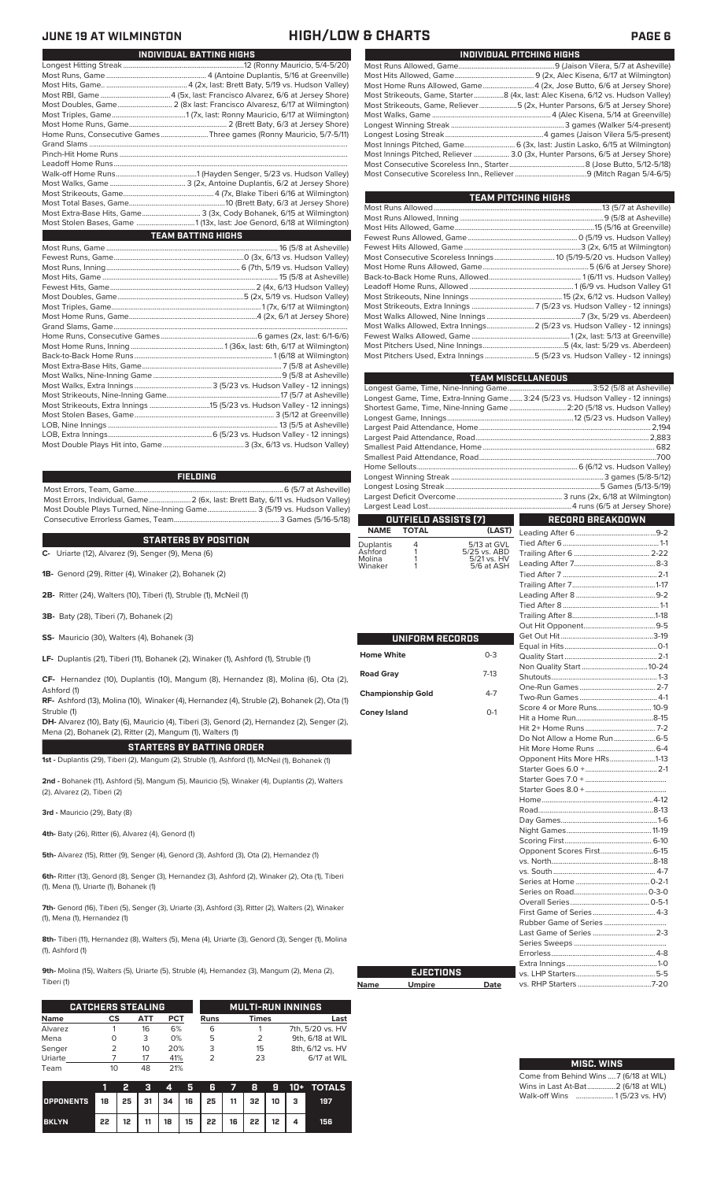### **JUNE 19 AT WILMINGTON HIGH/LOW & CHARTS PAGE 6**

| INDIVIDUAL BATTING HIGHS                                              |                          |  |  |  |  |  |  |  |
|-----------------------------------------------------------------------|--------------------------|--|--|--|--|--|--|--|
|                                                                       |                          |  |  |  |  |  |  |  |
|                                                                       |                          |  |  |  |  |  |  |  |
|                                                                       |                          |  |  |  |  |  |  |  |
|                                                                       |                          |  |  |  |  |  |  |  |
|                                                                       |                          |  |  |  |  |  |  |  |
|                                                                       |                          |  |  |  |  |  |  |  |
|                                                                       |                          |  |  |  |  |  |  |  |
| Home Runs, Consecutive Games Three games (Ronny Mauricio, 5/7-5/11)   |                          |  |  |  |  |  |  |  |
|                                                                       |                          |  |  |  |  |  |  |  |
|                                                                       |                          |  |  |  |  |  |  |  |
|                                                                       |                          |  |  |  |  |  |  |  |
|                                                                       |                          |  |  |  |  |  |  |  |
|                                                                       |                          |  |  |  |  |  |  |  |
|                                                                       |                          |  |  |  |  |  |  |  |
|                                                                       |                          |  |  |  |  |  |  |  |
| Most Extra-Base Hits, Game 3 (3x, Cody Bohanek, 6/15 at Wilmington)   |                          |  |  |  |  |  |  |  |
| Most Stolen Bases, Game 1 (13x, last: Joe Genord, 6/18 at Wilmington) |                          |  |  |  |  |  |  |  |
| <b>TEAM BATTING HIGHS</b>                                             |                          |  |  |  |  |  |  |  |
|                                                                       |                          |  |  |  |  |  |  |  |
|                                                                       |                          |  |  |  |  |  |  |  |
|                                                                       |                          |  |  |  |  |  |  |  |
|                                                                       |                          |  |  |  |  |  |  |  |
|                                                                       |                          |  |  |  |  |  |  |  |
|                                                                       |                          |  |  |  |  |  |  |  |
|                                                                       |                          |  |  |  |  |  |  |  |
|                                                                       |                          |  |  |  |  |  |  |  |
|                                                                       |                          |  |  |  |  |  |  |  |
|                                                                       |                          |  |  |  |  |  |  |  |
|                                                                       |                          |  |  |  |  |  |  |  |
|                                                                       |                          |  |  |  |  |  |  |  |
|                                                                       |                          |  |  |  |  |  |  |  |
|                                                                       |                          |  |  |  |  |  |  |  |
|                                                                       |                          |  |  |  |  |  |  |  |
| $M = 0$                                                               | $47/17/7 + 1 - 1 + 1 + $ |  |  |  |  |  |  |  |

### **FIELDING**

Most Errors, Team, Game...............................................................................6 (5/7 at Asheville) .<br>2 (6x, last: Brett Baty, 6/11 vs. Hudson Valley)<br>3 (5/19 vs. Hudson Valley) Most Double Plays Turned, Nine-Inning Game.......................... 3 (5/19 vs. Hudson Valley) Consecutive Errorless Games, Team.

### **STARTERS BY POSITION**

**C-** Uriarte (12), Alvarez (9), Senger (9), Mena (6)

**1B-** Genord (29), Ritter (4), Winaker (2), Bohanek (2)

**2B-** Ritter (24), Walters (10), Tiberi (1), Struble (1), McNeil (1)

**3B-** Baty (28), Tiberi (7), Bohanek (2)

**SS-** Mauricio (30), Walters (4), Bohanek (3)

**LF-** Duplantis (21), Tiberi (11), Bohanek (2), Winaker (1), Ashford (1), Struble (1)

**CF-** Hernandez (10), Duplantis (10), Mangum (8), Hernandez (8), Molina (6), Ota (2), Ashford (1)

**RF-** Ashford (13), Molina (10), Winaker (4), Hernandez (4), Struble (2), Bohanek (2), Ota (1) Struble (1)

**DH-** Alvarez (10), Baty (6), Mauricio (4), Tiberi (3), Genord (2), Hernandez (2), Senger (2), Mena (2), Bohanek (2), Ritter (2), Mangum (1), Walters (1)

**STARTERS BY BATTING ORDER**

**1st -** Duplantis (29), Tiberi (2), Mangum (2), Struble (1), Ashford (1), McNeil (1), Bohanek (1)

**2nd -** Bohanek (11), Ashford (5), Mangum (5), Mauricio (5), Winaker (4), Duplantis (2), Walters (2), Alvarez (2), Tiberi (2)

**3rd -** Mauricio (29), Baty (8)

**4th-** Baty (26), Ritter (6), Alvarez (4), Genord (1)

**5th-** Alvarez (15), Ritter (9), Senger (4), Genord (3), Ashford (3), Ota (2), Hernandez (1)

**6th-** Ritter (13), Genord (8), Senger (3), Hernandez (3), Ashford (2), Winaker (2), Ota (1), Tiberi (1), Mena (1), Uriarte (1), Bohanek (1)

**7th-** Genord (16), Tiberi (5), Senger (3), Uriarte (3), Ashford (3), Ritter (2), Walters (2), Winaker (1), Mena (1), Hernandez (1)

**8th-** Tiberi (11), Hernandez (8), Walters (5), Mena (4), Uriarte (3), Genord (3), Senger (1), Molina (1), Ashford (1)

**9th-** Molina (15), Walters (5), Uriarte (5), Struble (4), Hernandez (3), Mangum (2), Mena (2), Tiberi (1)

**Name** 

|             | <b>CATCHERS STEALING</b> |     |     | <b>MULTI-RUN INNINGS</b> |              |                  |  |  |  |
|-------------|--------------------------|-----|-----|--------------------------|--------------|------------------|--|--|--|
| <b>Name</b> | СS                       | АТТ | PCT | <b>Runs</b>              | <b>Times</b> | Last             |  |  |  |
| Alvarez     |                          | 16  | 6%  | 6                        |              | 7th, 5/20 vs. HV |  |  |  |
| Mena        | O                        | 3   | 0%  | 5                        | 2            | 9th, 6/18 at WIL |  |  |  |
| Senger      |                          | 10  | 20% | 3                        | 15           | 8th, 6/12 vs. HV |  |  |  |
| Uriarte     |                          | 17  | 41% |                          | 23           | 6/17 at WIL      |  |  |  |
| Team        |                          | 48  | 21% |                          |              |                  |  |  |  |

|                                        |    | Ŧ. |  |                                                             |  |  | 3 4 5 6 7 8 9 10 + TOTALS |
|----------------------------------------|----|----|--|-------------------------------------------------------------|--|--|---------------------------|
| OPPONENTS 18 25 31 34 16 25 11 32 10 3 |    |    |  |                                                             |  |  | 197                       |
| <b>BKLYN</b>                           | 22 |    |  | $12$   $11$   $18$   $15$   $22$   $16$   $22$   $12$   $4$ |  |  | 156                       |

| INDIVIDUAL PITCHING HIGHS                                                          |
|------------------------------------------------------------------------------------|
|                                                                                    |
|                                                                                    |
| Most Home Runs Allowed, Game4 (2x, Jose Butto, 6/6 at Jersey Shore)                |
| Most Strikeouts, Game, Starter8 (4x, last: Alec Kisena, 6/12 vs. Hudson Valley)    |
| Most Strikeouts, Game, Reliever……………………5 (2x, Hunter Parsons, 6/5 at Jersey Shore) |
|                                                                                    |
|                                                                                    |
|                                                                                    |
|                                                                                    |
| Most Innings Pitched, Reliever  3.0 (3x, Hunter Parsons, 6/5 at Jersey Shore)      |
|                                                                                    |
|                                                                                    |
|                                                                                    |

| TEAM PITCHING HIGHS                                                       |  |
|---------------------------------------------------------------------------|--|
|                                                                           |  |
|                                                                           |  |
|                                                                           |  |
|                                                                           |  |
|                                                                           |  |
|                                                                           |  |
|                                                                           |  |
|                                                                           |  |
|                                                                           |  |
|                                                                           |  |
|                                                                           |  |
|                                                                           |  |
| Most Walks Allowed, Extra Innings 2 (5/23 vs. Hudson Valley - 12 innings) |  |
|                                                                           |  |
|                                                                           |  |
| Most Pitchers Used, Extra Innings 5 (5/23 vs. Hudson Valley - 12 innings) |  |
|                                                                           |  |

|                            |                      |                             | <b>TEAM MISCELLANEOUS</b>                                                        |  |
|----------------------------|----------------------|-----------------------------|----------------------------------------------------------------------------------|--|
|                            |                      |                             |                                                                                  |  |
|                            |                      |                             | Longest Game, Time, Extra-Inning Game 3:24 (5/23 vs. Hudson Valley - 12 innings) |  |
|                            |                      |                             | Shortest Game, Time, Nine-Inning Game  2:20 (5/18 vs. Hudson Valley)             |  |
|                            |                      |                             |                                                                                  |  |
|                            |                      |                             |                                                                                  |  |
|                            |                      |                             |                                                                                  |  |
|                            |                      |                             |                                                                                  |  |
|                            |                      |                             |                                                                                  |  |
|                            |                      |                             |                                                                                  |  |
|                            |                      |                             |                                                                                  |  |
|                            |                      |                             |                                                                                  |  |
|                            |                      |                             |                                                                                  |  |
|                            | OUTFIELD ASSISTS (7) |                             | <b>RECORD BREAKDOWN</b>                                                          |  |
| <b>NAME</b>                | <b>TOTAL</b>         | (LAST)                      |                                                                                  |  |
|                            | 4                    | 5/13 at GVL                 |                                                                                  |  |
| Duplantis<br>Ashford       | 1                    | 5/25 vs. ABD<br>5/21 vs. HV |                                                                                  |  |
| Molina                     | 1<br>1               | 5/6 at ASH                  |                                                                                  |  |
| Winaker                    |                      |                             |                                                                                  |  |
|                            |                      |                             |                                                                                  |  |
|                            |                      |                             |                                                                                  |  |
|                            |                      |                             |                                                                                  |  |
|                            |                      |                             |                                                                                  |  |
|                            |                      |                             |                                                                                  |  |
|                            |                      |                             |                                                                                  |  |
|                            | UNIFORM RECORDS      |                             |                                                                                  |  |
| <b>Home White</b>          |                      | $0 - 3$                     |                                                                                  |  |
|                            |                      |                             |                                                                                  |  |
| $7-13$<br><b>Road Gray</b> |                      |                             |                                                                                  |  |
|                            |                      |                             |                                                                                  |  |
| <b>Championship Gold</b>   |                      | $4 - 7$                     |                                                                                  |  |
|                            |                      |                             | Score 4 or More Runs 10-9                                                        |  |
| <b>Coney Island</b>        |                      | $O-1$                       |                                                                                  |  |
|                            |                      |                             |                                                                                  |  |
|                            |                      |                             |                                                                                  |  |
|                            |                      |                             |                                                                                  |  |
|                            |                      |                             | Opponent Hits More HRs1-13                                                       |  |
|                            |                      |                             |                                                                                  |  |
|                            |                      |                             |                                                                                  |  |
|                            |                      |                             |                                                                                  |  |
|                            |                      |                             |                                                                                  |  |
|                            |                      |                             |                                                                                  |  |
|                            |                      |                             |                                                                                  |  |
|                            |                      |                             |                                                                                  |  |
|                            |                      |                             |                                                                                  |  |
|                            |                      |                             | Opponent Scores First6-15                                                        |  |
|                            |                      |                             |                                                                                  |  |
|                            |                      |                             |                                                                                  |  |
|                            |                      |                             |                                                                                  |  |
|                            |                      |                             |                                                                                  |  |
|                            |                      |                             |                                                                                  |  |
|                            |                      |                             |                                                                                  |  |
|                            |                      |                             |                                                                                  |  |
|                            |                      |                             |                                                                                  |  |
|                            |                      |                             |                                                                                  |  |
|                            |                      |                             |                                                                                  |  |
|                            |                      |                             |                                                                                  |  |
|                            | <b>EJECTIONS</b>     |                             |                                                                                  |  |
| Name                       | <b>Umpire</b>        | Date                        |                                                                                  |  |

| <b>MISC. WINS</b>                      |
|----------------------------------------|
|                                        |
| Come from Behind Wins  7 (6/18 at WIL) |
| Wins in Last At-Bat 2 (6/18 at WIL)    |
| Walk-off Wins  1(5/23 vs. HV)          |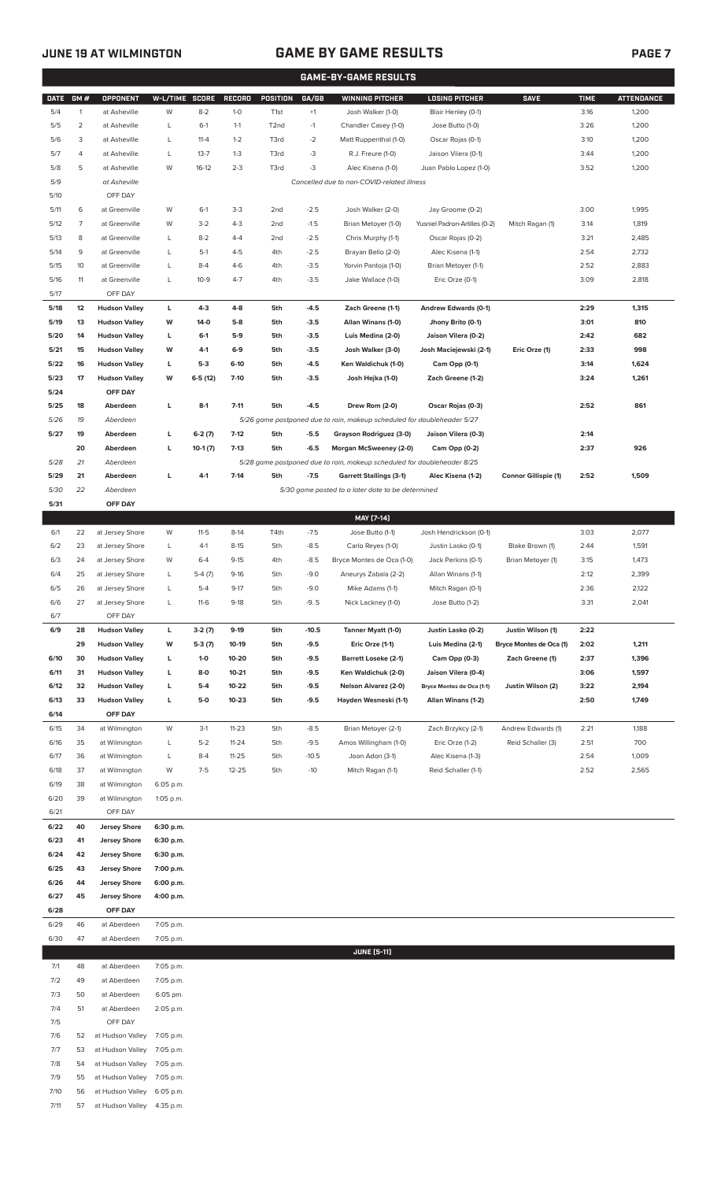## **JUNE 19 AT WILMINGTON GAME BY GAME RESULTS**

|             | <b>GAME-BY-GAME RESULTS</b> |                                 |                |           |               |                   |         |                                                                         |                               |                             |             |                   |
|-------------|-----------------------------|---------------------------------|----------------|-----------|---------------|-------------------|---------|-------------------------------------------------------------------------|-------------------------------|-----------------------------|-------------|-------------------|
| <b>DATE</b> | GM#                         | <b>OPPONENT</b>                 | W-L/TIME SCORE |           | <b>RECORD</b> | <b>POSITION</b>   | GA/GB   | <b>WINNING PITCHER</b>                                                  | <b>LOSING PITCHER</b>         | <b>SAVE</b>                 | <b>TIME</b> | <b>ATTENDANCE</b> |
| 5/4         | $\mathbf{1}$                | at Asheville                    | W              | $8 - 2$   | $1 - 0$       | T <sub>1st</sub>  | $+1$    | Josh Walker (1-0)                                                       | Blair Henley (0-1)            |                             | 3:16        | 1,200             |
| 5/5         | 2                           | at Asheville                    | L              | $6-1$     | $1 - 1$       | T <sub>2</sub> nd | $-1$    | Chandler Casey (1-0)                                                    | Jose Butto (1-0)              |                             | 3:26        | 1,200             |
| 5/6         | 3                           | at Asheville                    | L              | $11 - 4$  | $1 - 2$       | T3rd              | $-2$    | Matt Ruppenthal (1-0)                                                   | Oscar Rojas (0-1)             |                             | 3:10        | 1,200             |
| 5/7         | 4                           | at Asheville                    | L              | $13 - 7$  | $1 - 3$       | T3rd              | -3      | R.J. Freure (1-0)                                                       | Jaison Vilera (0-1)           |                             | 3:44        | 1,200             |
| 5/8         | 5                           | at Asheville                    | W              | $16-12$   | $2 - 3$       | T3rd              | -3      | Alec Kisena (1-0)                                                       | Juan Pablo Lopez (1-0)        |                             | 3:52        | 1,200             |
| 5/9         |                             | at Asheville                    |                |           |               |                   |         | Cancelled due to non-COVID-related illness                              |                               |                             |             |                   |
| 5/10        |                             | OFF DAY                         |                |           |               |                   |         |                                                                         |                               |                             |             |                   |
| 5/11        | 6                           | at Greenville                   | W              | $6-1$     | $3-3$         | 2 <sub>nd</sub>   | $-2.5$  | Josh Walker (2-0)                                                       | Jay Groome (0-2)              |                             | 3:00        | 1,995             |
| 5/12        | 7                           | at Greenville                   | W              | $3-2$     | $4 - 3$       | 2 <sub>nd</sub>   | $-1.5$  | Brian Metoyer (1-0)                                                     | Yusniel Padron-Artilles (0-2) | Mitch Ragan (1)             | 3:14        | 1,819             |
| 5/13        | 8                           | at Greenville                   | L              | $8 - 2$   | $4 - 4$       | 2 <sub>nd</sub>   | $-2.5$  | Chris Murphy (1-1)                                                      | Oscar Rojas (0-2)             |                             | 3:21        | 2,485             |
| 5/14        | 9                           | at Greenville                   | L              | $5-1$     | $4 - 5$       | 4th               | $-2.5$  | Brayan Bello (2-0)                                                      | Alec Kisena (1-1)             |                             | 2:54        | 2,732             |
| 5/15        | 10                          | at Greenville                   | L              | $8 - 4$   | $4-6$         | 4th               | $-3.5$  | Yorvin Pantoja (1-0)                                                    | Brian Metoyer (1-1)           |                             | 2:52        | 2,883             |
| 5/16        | 11                          | at Greenville                   | L              | $10-9$    | $4 - 7$       | 4th               | $-3.5$  | Jake Wallace (1-0)                                                      | Eric Orze (0-1)               |                             | 3:09        | 2,818             |
| 5/17        |                             | OFF DAY                         |                |           |               |                   |         |                                                                         |                               |                             |             |                   |
| 5/18        | 12                          | <b>Hudson Valley</b>            | L              | $4-3$     | $4-8$         | 5th               | $-4.5$  | Zach Greene (1-1)                                                       | Andrew Edwards (0-1)          |                             | 2:29        | 1,315             |
| 5/19        | 13                          | <b>Hudson Valley</b>            | W              | 14-0      | $5-8$         | 5th               | $-3.5$  | Allan Winans (1-0)                                                      | Jhony Brito (0-1)             |                             | 3:01        | 810               |
| 5/20        | 14                          | <b>Hudson Valley</b>            | L              | $6-1$     | $5-9$         | 5th               | $-3.5$  | Luis Medina (2-0)                                                       | Jaison Vilera (0-2)           |                             | 2:42        | 682               |
| 5/21        | 15                          | <b>Hudson Valley</b>            | W              | $4-1$     | $6-9$         | 5th               | $-3.5$  | Josh Walker (3-0)                                                       | Josh Maciejewski (2-1)        | Eric Orze (1)               | 2:33        | 998               |
| 5/22        | 16                          | <b>Hudson Valley</b>            | L              | $5-3$     | $6-10$        | 5th               | $-4.5$  | Ken Waldichuk (1-0)                                                     | Cam Opp (0-1)                 |                             | 3:14        | 1,624             |
| 5/23        | 17                          |                                 | W              |           | $7-10$        |                   | $-3.5$  |                                                                         |                               |                             |             |                   |
| 5/24        |                             | <b>Hudson Valley</b><br>OFF DAY |                | $6-5(12)$ |               | 5th               |         | Josh Hejka (1-0)                                                        | Zach Greene (1-2)             |                             | 3:24        | 1,261             |
| 5/25        | 18                          |                                 | г              |           | $7 - 11$      | 5th               | $-4.5$  |                                                                         |                               |                             |             | 861               |
|             |                             | Aberdeen                        |                | $8-1$     |               |                   |         | Drew Rom (2-0)                                                          | Oscar Rojas (0-3)             |                             | 2:52        |                   |
| 5/26        | 19                          | Aberdeen                        |                |           |               |                   |         | 5/26 game postponed due to rain, makeup scheduled for doubleheader 5/27 |                               |                             |             |                   |
| 5/27        | 19                          | Aberdeen                        | г              | $6-2(7)$  | $7 - 12$      | 5th               | $-5.5$  | Grayson Rodriguez (3-0)                                                 | Jaison Vilera (0-3)           |                             | 2:14        |                   |
|             | 20                          | Aberdeen                        | г              | $10-1(7)$ | $7 - 13$      | 5th               | $-6.5$  | Morgan McSweeney (2-0)                                                  | Cam Opp (0-2)                 |                             | 2:37        | 926               |
| 5/28        | 21                          | Aberdeen                        |                |           |               |                   |         | 5/28 game postponed due to rain, makeup scheduled for doubleheader 8/25 |                               |                             |             |                   |
| 5/29        | 21                          | Aberdeen                        | г              | $4 - 1$   | $7-14$        | 5th               | $-7.5$  | <b>Garrett Stallings (3-1)</b>                                          | Alec Kisena (1-2)             | <b>Connor Gillispie (1)</b> | 2:52        | 1,509             |
| 5/30        | 22                          | Aberdeen                        |                |           |               |                   |         | 5/30 game posted to a later date to be determined                       |                               |                             |             |                   |
| 5/31        |                             | OFF DAY                         |                |           |               |                   |         |                                                                         |                               |                             |             |                   |
|             |                             |                                 |                |           |               |                   |         | MAY [7-14]                                                              |                               |                             |             |                   |
| 6/1         | 22                          | at Jersey Shore                 | W              | $11-5$    | $8-14$        | T4th              | $-7.5$  | Jose Butto (1-1)                                                        | Josh Hendrickson (0-1)        |                             | 3:03        | 2,077             |
| 6/2         | 23                          | at Jersey Shore                 | L              | $4-1$     | $8 - 15$      | 5th               | $-8.5$  | Carlo Reyes (1-0)                                                       | Justin Lasko (0-1)            | Blake Brown (1)             | 2:44        | 1,591             |
| 6/3         | 24                          | at Jersey Shore                 | W              | $6 - 4$   | $9 - 15$      | 4th               | $-8.5$  | Bryce Montes de Oca (1-0)                                               | Jack Perkins (0-1)            | Brian Metoyer (1)           | 3:15        | 1,473             |
| 6/4         | 25                          | at Jersey Shore                 | L              | $5-4(7)$  | $9 - 16$      | 5th               | $-9.0$  | Aneurys Zabala (2-2)                                                    | Allan Winans (1-1)            |                             | 2:12        | 2,399             |
| 6/5         | 26                          | at Jersey Shore                 | L              | $5 - 4$   | $9-17$        | 5th               | $-9.0$  | Mike Adams (1-1)                                                        | Mitch Ragan (0-1)             |                             | 2:36        | 2,122             |
| 6/6         | 27                          | at Jersey Shore                 | L              | $11-6$    | $9-18$        | 5th               | -95     | Nick Lackney (1-0)                                                      | Jose Butto (1-2)              |                             | 3:31        | 2,041             |
| 6/7         |                             | OFF DAY                         |                |           |               |                   |         |                                                                         |                               |                             |             |                   |
| 6/9         | 28                          | <b>Hudson Valley</b>            | L              | $3-2(7)$  | $9-19$        | 5th               | $-10.5$ | Tanner Myatt (1-0)                                                      | Justin Lasko (0-2)            | Justin Wilson (1)           | 2:22        |                   |
|             | 29                          | <b>Hudson Valley</b>            | W              | $5-3(7)$  | 10-19         | 5th               | $-9.5$  | Eric Orze (1-1)                                                         | Luis Medina (2-1)             | Bryce Montes de Oca (1)     | 2:02        | 1,211             |
| 6/10        | 30                          | <b>Hudson Valley</b>            | L              | $1 - 0$   | 10-20         | 5th               | $-9.5$  | <b>Barrett Loseke (2-1)</b>                                             | Cam Opp (0-3)                 | Zach Greene (1)             | 2:37        | 1,396             |
| 6/11        | 31                          | <b>Hudson Valley</b>            | L              | $8-0$     | $10 - 21$     | 5th               | $-9.5$  | Ken Waldichuk (2-0)                                                     | Jaison Vilera (0-4)           |                             | 3:06        | 1,597             |
| 6/12        | 32                          | <b>Hudson Valley</b>            | L              | $5-4$     | 10-22         | 5th               | $-9.5$  | <b>Nelson Alvarez (2-0)</b>                                             | Bryce Montes de Oca (1-1)     | Justin Wilson (2)           | 3:22        | 2,194             |
| 6/13        | 33                          | <b>Hudson Valley</b>            | L              | $5-0$     | $10 - 23$     | 5th               | $-9.5$  | Hayden Wesneski (1-1)                                                   | Allan Winans (1-2)            |                             | 2:50        | 1,749             |
| 6/14        |                             | OFF DAY                         |                |           |               |                   |         |                                                                         |                               |                             |             |                   |
| 6/15        | 34                          | at Wilmington                   | W              | $3-1$     | $11 - 23$     | 5th               | $-8.5$  | Brian Metoyer (2-1)                                                     | Zach Brzykcy (2-1)            | Andrew Edwards (1)          | 2:21        | 1,188             |
| 6/16        | 35                          | at Wilmington                   | L              | $5 - 2$   | $11 - 24$     | 5th               | $-9.5$  | Amos Willingham (1-0)                                                   | Eric Orze (1-2)               | Reid Schaller (3)           | 2:51        | 700               |
| 6/17        | 36                          | at Wilmington                   | L              | $8 - 4$   | $11 - 25$     | 5th               | $-10.5$ | Joan Adon (3-1)                                                         | Alec Kisena (1-3)             |                             | 2:54        | 1,009             |
| 6/18        | 37                          | at Wilmington                   | W              | $7 - 5$   | $12 - 25$     | 5th               | $-10$   | Mitch Ragan (1-1)                                                       | Reid Schaller (1-1)           |                             | 2:52        | 2,565             |
| 6/19        | 38                          | at Wilmington                   | 6:05 p.m.      |           |               |                   |         |                                                                         |                               |                             |             |                   |
| 6/20        | 39                          | at Wilmington                   | 1:05 p.m.      |           |               |                   |         |                                                                         |                               |                             |             |                   |
| 6/21        |                             | OFF DAY                         |                |           |               |                   |         |                                                                         |                               |                             |             |                   |
| 6/22        | 40                          | <b>Jersey Shore</b>             | 6:30 p.m.      |           |               |                   |         |                                                                         |                               |                             |             |                   |
| 6/23        | 41                          | <b>Jersey Shore</b>             | 6:30 p.m.      |           |               |                   |         |                                                                         |                               |                             |             |                   |
| 6/24        | 42                          | <b>Jersey Shore</b>             | 6:30 p.m.      |           |               |                   |         |                                                                         |                               |                             |             |                   |
| 6/25        | 43                          | <b>Jersey Shore</b>             | 7:00 p.m.      |           |               |                   |         |                                                                         |                               |                             |             |                   |
| 6/26        | 44                          | <b>Jersey Shore</b>             | 6:00 p.m.      |           |               |                   |         |                                                                         |                               |                             |             |                   |
| 6/27        | 45                          | <b>Jersey Shore</b>             | 4:00 p.m.      |           |               |                   |         |                                                                         |                               |                             |             |                   |
| 6/28        |                             | OFF DAY                         |                |           |               |                   |         |                                                                         |                               |                             |             |                   |
| 6/29        | 46                          | at Aberdeen                     | 7:05 p.m.      |           |               |                   |         |                                                                         |                               |                             |             |                   |
| 6/30        | 47                          | at Aberdeen                     | 7:05 p.m.      |           |               |                   |         |                                                                         |                               |                             |             |                   |
|             |                             |                                 |                |           |               |                   |         | <b>JUNE [5-11]</b>                                                      |                               |                             |             |                   |
| 7/1         | 48                          | at Aberdeen                     | 7:05 p.m.      |           |               |                   |         |                                                                         |                               |                             |             |                   |
| 7/2         | 49                          | at Aberdeen                     | 7:05 p.m.      |           |               |                   |         |                                                                         |                               |                             |             |                   |
| 7/3         | 50                          | at Aberdeen                     | 6:05 pm.       |           |               |                   |         |                                                                         |                               |                             |             |                   |
| 7/4         | 51                          | at Aberdeen                     | 2:05 p.m.      |           |               |                   |         |                                                                         |                               |                             |             |                   |
| 7/5         |                             | OFF DAY                         |                |           |               |                   |         |                                                                         |                               |                             |             |                   |
| 7/6         | 52                          | at Hudson Valley                | 7:05 p.m.      |           |               |                   |         |                                                                         |                               |                             |             |                   |
| 7/7         | 53                          | at Hudson Valley                | 7:05 p.m.      |           |               |                   |         |                                                                         |                               |                             |             |                   |
| 7/8         | 54                          | at Hudson Valley                | 7:05 p.m.      |           |               |                   |         |                                                                         |                               |                             |             |                   |
| 7/9         | 55                          | at Hudson Valley                | 7:05 p.m.      |           |               |                   |         |                                                                         |                               |                             |             |                   |
| 7/10        | 56                          | at Hudson Valley                | 6:05 p.m.      |           |               |                   |         |                                                                         |                               |                             |             |                   |
| 7/11        | 57                          | at Hudson Valley                | 4:35 p.m.      |           |               |                   |         |                                                                         |                               |                             |             |                   |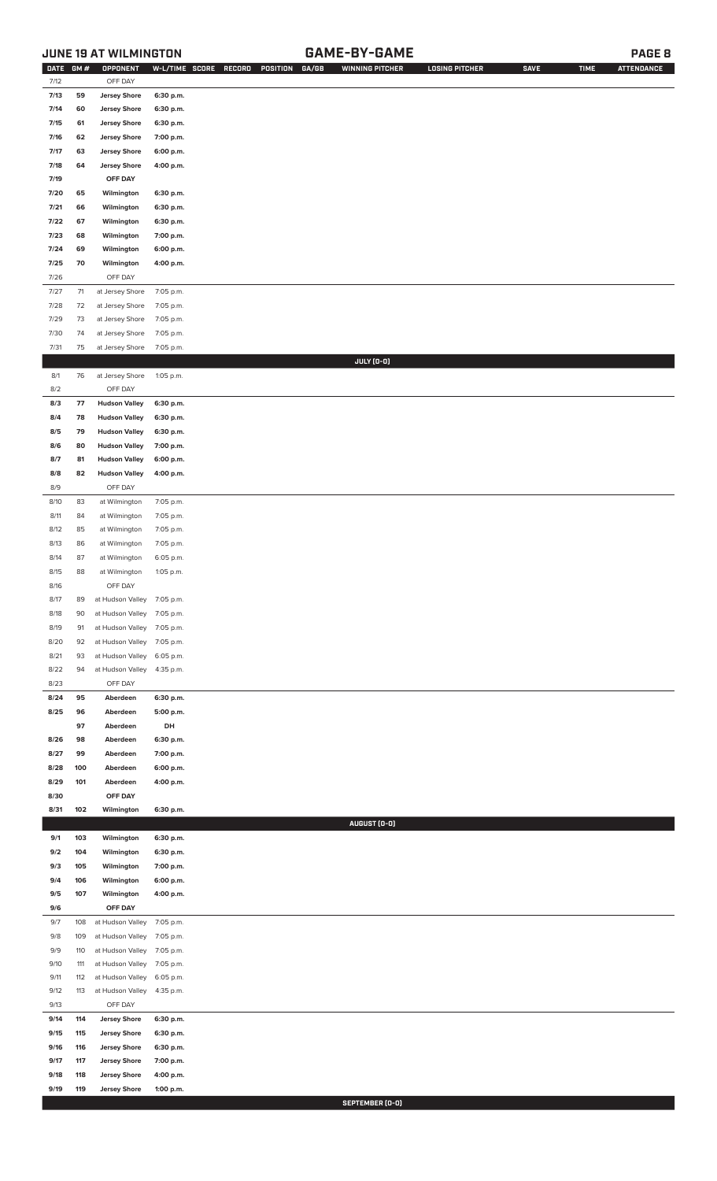## **JUNE 19 AT WILMINGTON GAME-BY-GAME PAGE 8**

| DATE         | GM#        | OPPONENT                                   | W-L/TIME SCORE         | RECORD<br>POSITION<br>GA/GB | <b>WINNING PITCHER</b> | <b>LOSING PITCHER</b> | <b>SAVE</b> | <b>TIME</b> | <b>ATTENDANCE</b> |
|--------------|------------|--------------------------------------------|------------------------|-----------------------------|------------------------|-----------------------|-------------|-------------|-------------------|
| 7/12         |            | OFF DAY                                    |                        |                             |                        |                       |             |             |                   |
| 7/13         | 59         | <b>Jersey Shore</b>                        | 6:30 p.m.              |                             |                        |                       |             |             |                   |
| 7/14         | 60         | <b>Jersey Shore</b>                        | 6:30 p.m.              |                             |                        |                       |             |             |                   |
| 7/15         | 61         | <b>Jersey Shore</b>                        | 6:30 p.m.              |                             |                        |                       |             |             |                   |
| 7/16         | 62         | <b>Jersey Shore</b>                        | 7:00 p.m.              |                             |                        |                       |             |             |                   |
| 7/17         | 63         | <b>Jersey Shore</b>                        | 6:00 p.m.              |                             |                        |                       |             |             |                   |
| 7/18         | 64         | <b>Jersey Shore</b>                        | 4:00 p.m.              |                             |                        |                       |             |             |                   |
| 7/19         |            | OFF DAY                                    |                        |                             |                        |                       |             |             |                   |
|              |            |                                            |                        |                             |                        |                       |             |             |                   |
| 7/20         | 65         | Wilmington                                 | 6:30 p.m.              |                             |                        |                       |             |             |                   |
| 7/21         | 66         | Wilmington                                 | 6:30 p.m.              |                             |                        |                       |             |             |                   |
| 7/22         | 67         | Wilmington                                 | 6:30 p.m.              |                             |                        |                       |             |             |                   |
| 7/23         | 68         | Wilmington                                 | 7:00 p.m.              |                             |                        |                       |             |             |                   |
| 7/24         | 69         | Wilmington                                 | 6:00 p.m.              |                             |                        |                       |             |             |                   |
| 7/25         | 70         | Wilmington                                 | 4:00 p.m.              |                             |                        |                       |             |             |                   |
| 7/26         |            | OFF DAY                                    |                        |                             |                        |                       |             |             |                   |
| 7/27         | $71$       | at Jersey Shore                            | 7:05 p.m.              |                             |                        |                       |             |             |                   |
| 7/28         | 72         | at Jersey Shore                            | 7:05 p.m.              |                             |                        |                       |             |             |                   |
| 7/29         | 73         | at Jersey Shore                            | 7:05 p.m.              |                             |                        |                       |             |             |                   |
| 7/30         | 74         | at Jersey Shore                            | 7:05 p.m.              |                             |                        |                       |             |             |                   |
| 7/31         | 75         | at Jersey Shore                            | 7:05 p.m.              |                             |                        |                       |             |             |                   |
|              |            |                                            |                        |                             | JULY (0-0)             |                       |             |             |                   |
| 8/1          | 76         | at Jersey Shore                            | 1:05 p.m.              |                             |                        |                       |             |             |                   |
| 8/2          |            | OFF DAY                                    |                        |                             |                        |                       |             |             |                   |
| 8/3          | 77         | <b>Hudson Valley</b>                       | 6:30 p.m.              |                             |                        |                       |             |             |                   |
| 8/4          | 78         | <b>Hudson Valley</b>                       | 6:30 p.m.              |                             |                        |                       |             |             |                   |
| 8/5          | 79         | <b>Hudson Valley</b>                       | 6:30 p.m.              |                             |                        |                       |             |             |                   |
| 8/6          | 80         | <b>Hudson Valley</b>                       | 7:00 p.m.              |                             |                        |                       |             |             |                   |
| 8/7          | 81         | <b>Hudson Valley</b>                       | 6:00 p.m.              |                             |                        |                       |             |             |                   |
| 8/8          |            |                                            |                        |                             |                        |                       |             |             |                   |
| 8/9          | 82         | <b>Hudson Valley</b><br>OFF DAY            | 4:00 p.m.              |                             |                        |                       |             |             |                   |
|              |            |                                            |                        |                             |                        |                       |             |             |                   |
| 8/10         | 83         | at Wilmington                              | 7:05 p.m.              |                             |                        |                       |             |             |                   |
| 8/11         | 84         | at Wilmington                              | 7:05 p.m.              |                             |                        |                       |             |             |                   |
| 8/12         | 85         | at Wilmington                              | 7:05 p.m.              |                             |                        |                       |             |             |                   |
| 8/13         | 86         | at Wilmington                              | 7:05 p.m.              |                             |                        |                       |             |             |                   |
| 8/14         | 87         | at Wilmington                              | 6:05 p.m.              |                             |                        |                       |             |             |                   |
| 8/15         | 88         | at Wilmington                              | 1:05 p.m.              |                             |                        |                       |             |             |                   |
| 8/16         |            | OFF DAY                                    |                        |                             |                        |                       |             |             |                   |
| 8/17         | 89         | at Hudson Valley 7:05 p.m.                 |                        |                             |                        |                       |             |             |                   |
| 8/18         | 90         | at Hudson Valley                           | 7:05 p.m.              |                             |                        |                       |             |             |                   |
| 8/19         | 91         | at Hudson Valley                           | 7:05 p.m.              |                             |                        |                       |             |             |                   |
| 8/20         | 92         | at Hudson Valley                           | 7:05 p.m.              |                             |                        |                       |             |             |                   |
| 8/21         | 93         | at Hudson Valley                           | 6:05 p.m.              |                             |                        |                       |             |             |                   |
| 8/22         | 94         | at Hudson Valley                           | 4:35 p.m.              |                             |                        |                       |             |             |                   |
| 8/23         |            | OFF DAY                                    |                        |                             |                        |                       |             |             |                   |
| 8/24         | 95         | Aberdeen                                   | 6:30 p.m.              |                             |                        |                       |             |             |                   |
| 8/25         | 96         | Aberdeen                                   | 5:00 p.m.              |                             |                        |                       |             |             |                   |
|              | 97         | Aberdeen                                   | DH                     |                             |                        |                       |             |             |                   |
| 8/26         | 98         | Aberdeen                                   | 6:30 p.m.              |                             |                        |                       |             |             |                   |
| 8/27         | 99         | Aberdeen                                   | 7:00 p.m.              |                             |                        |                       |             |             |                   |
| 8/28         | 100        | Aberdeen                                   | 6:00 p.m.              |                             |                        |                       |             |             |                   |
| 8/29         | 101        | Aberdeen                                   | 4:00 p.m.              |                             |                        |                       |             |             |                   |
| 8/30         |            | OFF DAY                                    |                        |                             |                        |                       |             |             |                   |
| 8/31         | 102        | Wilmington                                 | 6:30 p.m.              |                             |                        |                       |             |             |                   |
|              |            |                                            |                        |                             | AUGUST (0-0)           |                       |             |             |                   |
| 9/1          | 103        | Wilmington                                 | 6:30 p.m.              |                             |                        |                       |             |             |                   |
| 9/2          | 104        | Wilmington                                 | 6:30 p.m.              |                             |                        |                       |             |             |                   |
| 9/3          | 105        | Wilmington                                 | 7:00 p.m.              |                             |                        |                       |             |             |                   |
| 9/4          | 106        | Wilmington                                 | 6:00 p.m.              |                             |                        |                       |             |             |                   |
| 9/5          | 107        | Wilmington                                 | 4:00 p.m.              |                             |                        |                       |             |             |                   |
| 9/6          |            | OFF DAY                                    |                        |                             |                        |                       |             |             |                   |
| 9/7          | 108        | at Hudson Valley                           | 7:05 p.m.              |                             |                        |                       |             |             |                   |
| 9/8          | 109        | at Hudson Valley                           | 7:05 p.m.              |                             |                        |                       |             |             |                   |
| 9/9          | 110        | at Hudson Valley                           | 7:05 p.m.              |                             |                        |                       |             |             |                   |
| 9/10         | 111        | at Hudson Valley                           | 7:05 p.m.              |                             |                        |                       |             |             |                   |
| 9/11         | 112        | at Hudson Valley                           | 6:05 p.m.              |                             |                        |                       |             |             |                   |
| 9/12         | 113        | at Hudson Valley                           | 4:35 p.m.              |                             |                        |                       |             |             |                   |
| 9/13         |            | OFF DAY                                    |                        |                             |                        |                       |             |             |                   |
| 9/14         | 114        | <b>Jersey Shore</b>                        | 6:30 p.m.              |                             |                        |                       |             |             |                   |
| 9/15         | 115        |                                            | 6:30 p.m.              |                             |                        |                       |             |             |                   |
|              |            | <b>Jersey Shore</b>                        | 6:30 p.m.              |                             |                        |                       |             |             |                   |
| 9/16         | 116        | <b>Jersey Shore</b>                        |                        |                             |                        |                       |             |             |                   |
| 9/17<br>9/18 | 117        | <b>Jersey Shore</b>                        | 7:00 p.m.<br>4:00 p.m. |                             |                        |                       |             |             |                   |
| 9/19         | 118<br>119 | <b>Jersey Shore</b><br><b>Jersey Shore</b> | 1:00 p.m.              |                             |                        |                       |             |             |                   |
|              |            |                                            |                        |                             |                        |                       |             |             |                   |

**SEPTEMBER (0-0)**